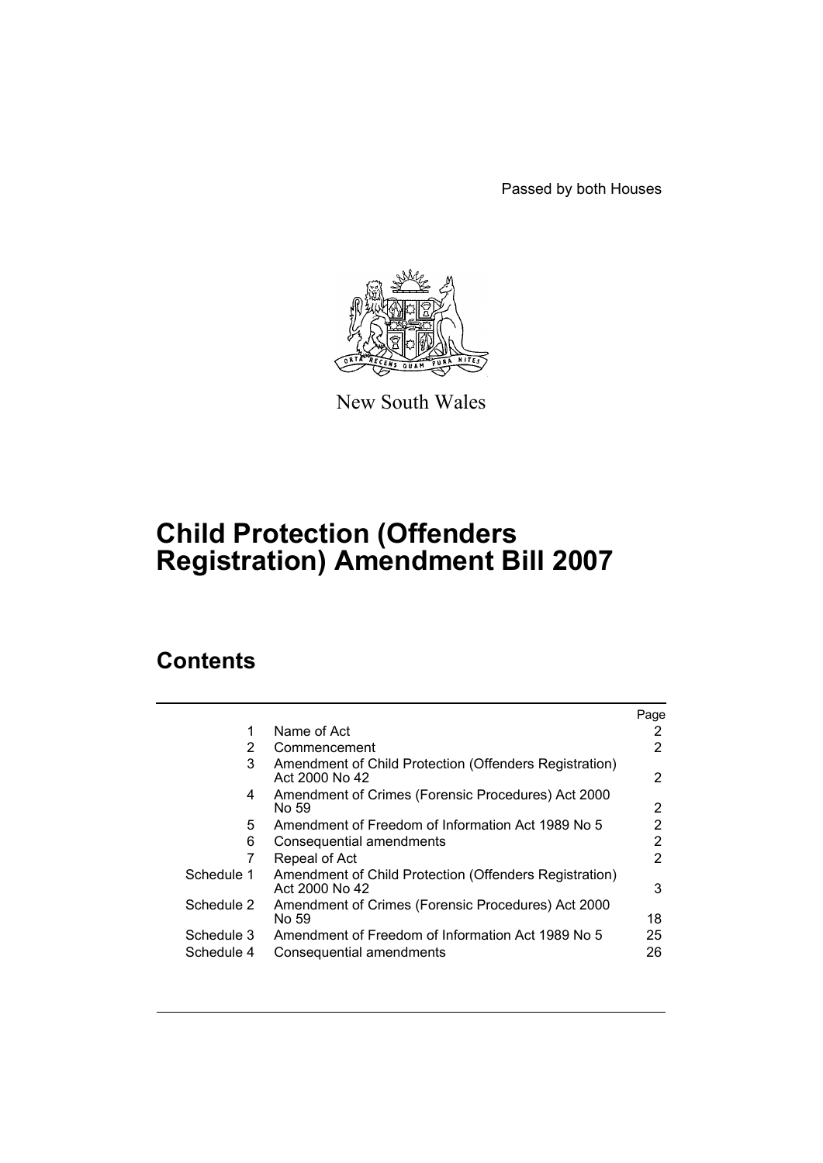Passed by both Houses



New South Wales

# **Child Protection (Offenders Registration) Amendment Bill 2007**

# **Contents**

|                          |                                                                               | Page     |
|--------------------------|-------------------------------------------------------------------------------|----------|
| 1                        | Name of Act                                                                   | 2        |
| 2                        | Commencement                                                                  | 2        |
| 3                        | Amendment of Child Protection (Offenders Registration)<br>Act 2000 No 42      | 2        |
| 4                        | Amendment of Crimes (Forensic Procedures) Act 2000<br>No 59                   | 2        |
| 5                        | Amendment of Freedom of Information Act 1989 No 5                             | 2        |
| 6                        | Consequential amendments                                                      | 2        |
|                          | Repeal of Act                                                                 | 2        |
| Schedule 1               | Amendment of Child Protection (Offenders Registration)<br>Act 2000 No 42      | 3        |
| Schedule 2               | Amendment of Crimes (Forensic Procedures) Act 2000<br>No 59                   | 18       |
| Schedule 3<br>Schedule 4 | Amendment of Freedom of Information Act 1989 No 5<br>Consequential amendments | 25<br>26 |
|                          |                                                                               |          |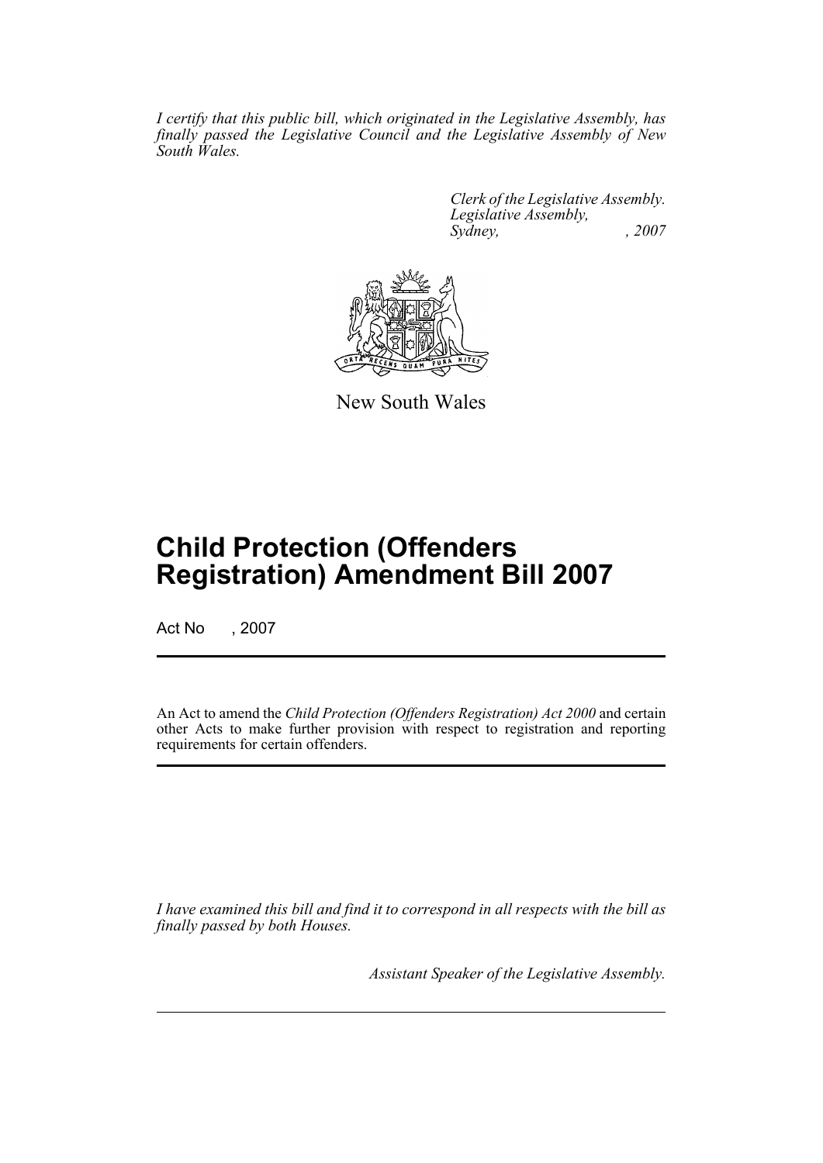*I certify that this public bill, which originated in the Legislative Assembly, has finally passed the Legislative Council and the Legislative Assembly of New South Wales.*

> *Clerk of the Legislative Assembly. Legislative Assembly, Sydney, , 2007*



New South Wales

# **Child Protection (Offenders Registration) Amendment Bill 2007**

Act No , 2007

An Act to amend the *Child Protection (Offenders Registration) Act 2000* and certain other Acts to make further provision with respect to registration and reporting requirements for certain offenders.

*I have examined this bill and find it to correspond in all respects with the bill as finally passed by both Houses.*

*Assistant Speaker of the Legislative Assembly.*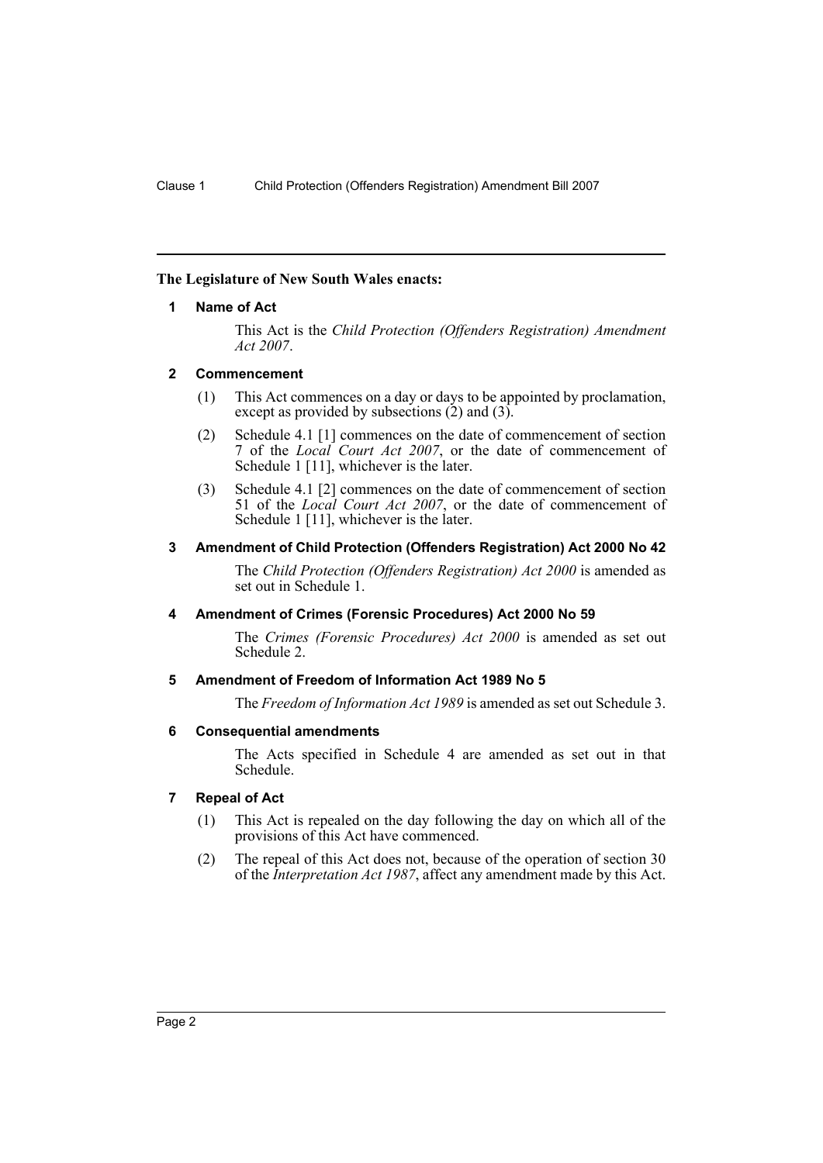## <span id="page-2-0"></span>**The Legislature of New South Wales enacts:**

## **1 Name of Act**

This Act is the *Child Protection (Offenders Registration) Amendment Act 2007*.

## <span id="page-2-1"></span>**2 Commencement**

- (1) This Act commences on a day or days to be appointed by proclamation, except as provided by subsections  $(2)$  and  $(3)$ .
- (2) Schedule 4.1 [1] commences on the date of commencement of section 7 of the *Local Court Act 2007*, or the date of commencement of Schedule 1 [11], whichever is the later.
- (3) Schedule 4.1 [2] commences on the date of commencement of section 51 of the *Local Court Act 2007*, or the date of commencement of Schedule 1 [11], whichever is the later.

## <span id="page-2-2"></span>**3 Amendment of Child Protection (Offenders Registration) Act 2000 No 42**

The *Child Protection (Offenders Registration) Act 2000* is amended as set out in Schedule 1.

## <span id="page-2-3"></span>**4 Amendment of Crimes (Forensic Procedures) Act 2000 No 59**

The *Crimes (Forensic Procedures) Act 2000* is amended as set out Schedule 2.

## <span id="page-2-4"></span>**5 Amendment of Freedom of Information Act 1989 No 5**

The *Freedom of Information Act 1989* is amended as set out Schedule 3.

## <span id="page-2-5"></span>**6 Consequential amendments**

The Acts specified in Schedule 4 are amended as set out in that Schedule.

## <span id="page-2-6"></span>**7 Repeal of Act**

- (1) This Act is repealed on the day following the day on which all of the provisions of this Act have commenced.
- (2) The repeal of this Act does not, because of the operation of section 30 of the *Interpretation Act 1987*, affect any amendment made by this Act.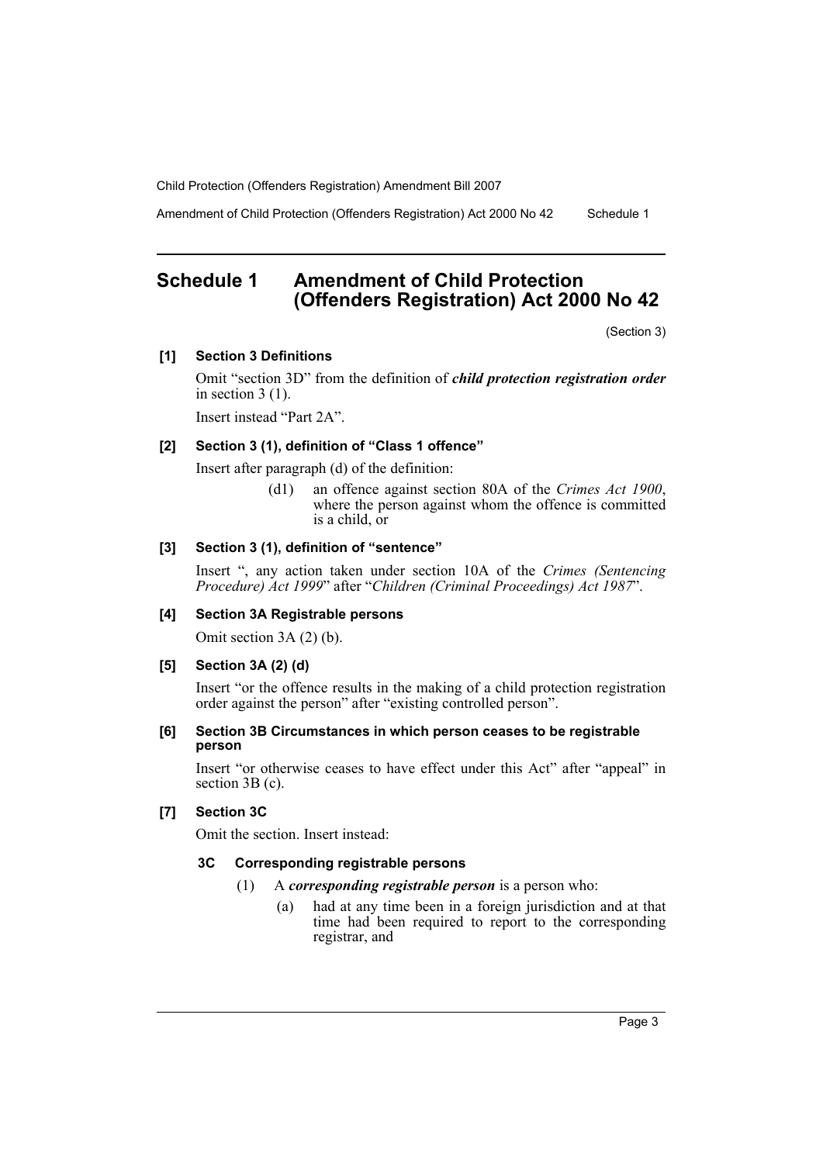Amendment of Child Protection (Offenders Registration) Act 2000 No 42 Schedule 1

# <span id="page-3-0"></span>**Schedule 1 Amendment of Child Protection (Offenders Registration) Act 2000 No 42**

(Section 3)

## **[1] Section 3 Definitions**

Omit "section 3D" from the definition of *child protection registration order* in section 3 (1).

Insert instead "Part 2A".

## **[2] Section 3 (1), definition of "Class 1 offence"**

Insert after paragraph (d) of the definition:

(d1) an offence against section 80A of the *Crimes Act 1900*, where the person against whom the offence is committed is a child, or

## **[3] Section 3 (1), definition of "sentence"**

Insert ", any action taken under section 10A of the *Crimes (Sentencing Procedure) Act 1999*" after "*Children (Criminal Proceedings) Act 1987*".

## **[4] Section 3A Registrable persons**

Omit section 3A (2) (b).

## **[5] Section 3A (2) (d)**

Insert "or the offence results in the making of a child protection registration order against the person" after "existing controlled person".

### **[6] Section 3B Circumstances in which person ceases to be registrable person**

Insert "or otherwise ceases to have effect under this Act" after "appeal" in section 3B (c).

## **[7] Section 3C**

Omit the section. Insert instead:

## **3C Corresponding registrable persons**

- (1) A *corresponding registrable person* is a person who:
	- (a) had at any time been in a foreign jurisdiction and at that time had been required to report to the corresponding registrar, and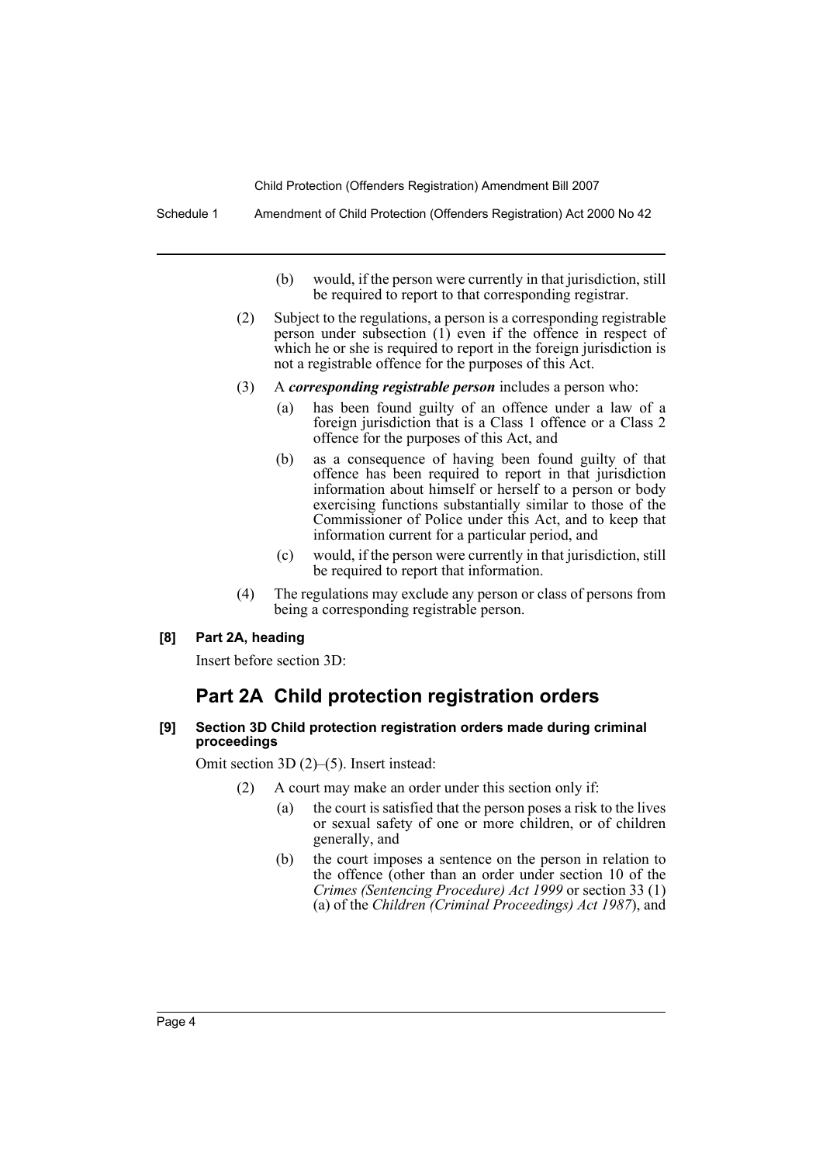Schedule 1 Amendment of Child Protection (Offenders Registration) Act 2000 No 42

- (b) would, if the person were currently in that jurisdiction, still be required to report to that corresponding registrar.
- (2) Subject to the regulations, a person is a corresponding registrable person under subsection (1) even if the offence in respect of which he or she is required to report in the foreign jurisdiction is not a registrable offence for the purposes of this Act.
- (3) A *corresponding registrable person* includes a person who:
	- (a) has been found guilty of an offence under a law of a foreign jurisdiction that is a Class 1 offence or a Class 2 offence for the purposes of this Act, and
	- (b) as a consequence of having been found guilty of that offence has been required to report in that jurisdiction information about himself or herself to a person or body exercising functions substantially similar to those of the Commissioner of Police under this Act, and to keep that information current for a particular period, and
	- (c) would, if the person were currently in that jurisdiction, still be required to report that information.
- (4) The regulations may exclude any person or class of persons from being a corresponding registrable person.

## **[8] Part 2A, heading**

Insert before section 3D:

# **Part 2A Child protection registration orders**

### **[9] Section 3D Child protection registration orders made during criminal proceedings**

Omit section 3D (2)–(5). Insert instead:

- (2) A court may make an order under this section only if:
	- (a) the court is satisfied that the person poses a risk to the lives or sexual safety of one or more children, or of children generally, and
	- (b) the court imposes a sentence on the person in relation to the offence (other than an order under section 10 of the *Crimes (Sentencing Procedure) Act 1999* or section 33 (1) (a) of the *Children (Criminal Proceedings) Act 1987*), and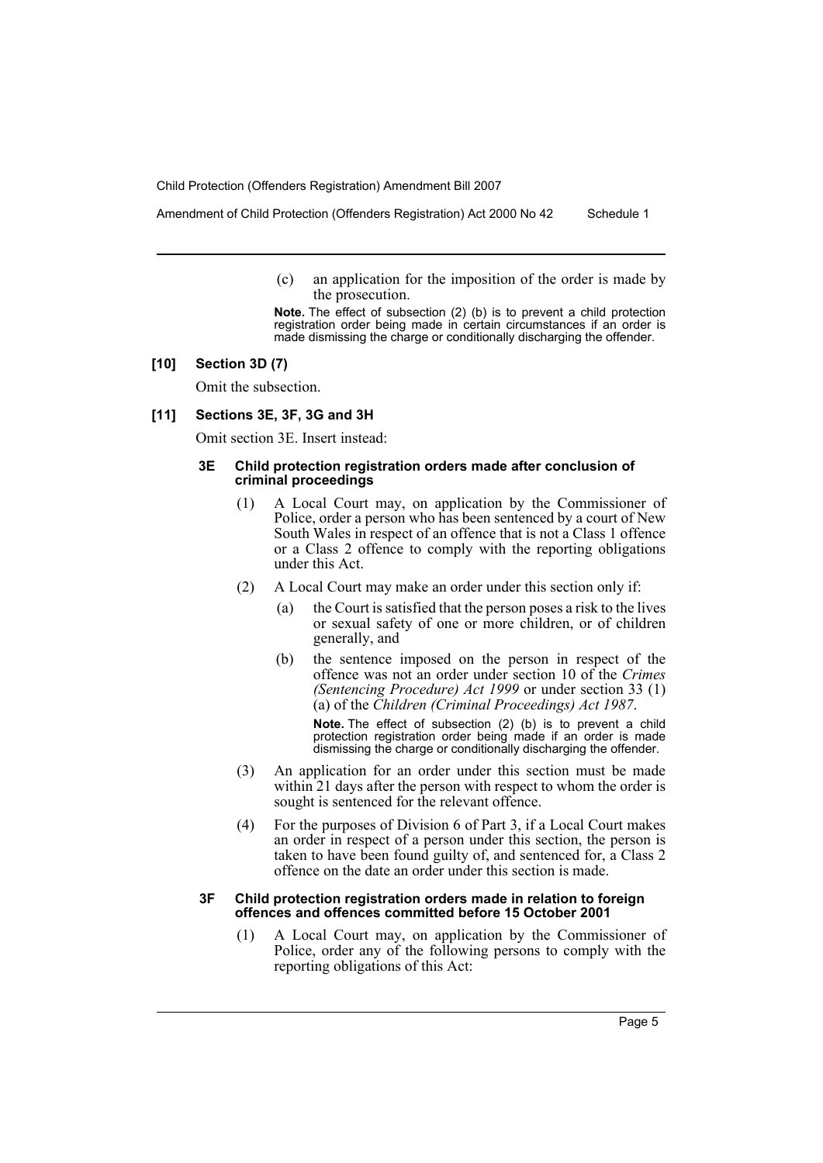Amendment of Child Protection (Offenders Registration) Act 2000 No 42 Schedule 1

(c) an application for the imposition of the order is made by the prosecution.

**Note.** The effect of subsection (2) (b) is to prevent a child protection registration order being made in certain circumstances if an order is made dismissing the charge or conditionally discharging the offender.

## **[10] Section 3D (7)**

Omit the subsection.

## **[11] Sections 3E, 3F, 3G and 3H**

Omit section 3E. Insert instead:

### **3E Child protection registration orders made after conclusion of criminal proceedings**

- (1) A Local Court may, on application by the Commissioner of Police, order a person who has been sentenced by a court of New South Wales in respect of an offence that is not a Class 1 offence or a Class 2 offence to comply with the reporting obligations under this Act.
- (2) A Local Court may make an order under this section only if:
	- (a) the Court is satisfied that the person poses a risk to the lives or sexual safety of one or more children, or of children generally, and
	- (b) the sentence imposed on the person in respect of the offence was not an order under section 10 of the *Crimes (Sentencing Procedure) Act 1999* or under section 33 (1) (a) of the *Children (Criminal Proceedings) Act 1987*.

**Note.** The effect of subsection (2) (b) is to prevent a child protection registration order being made if an order is made dismissing the charge or conditionally discharging the offender.

- (3) An application for an order under this section must be made within 21 days after the person with respect to whom the order is sought is sentenced for the relevant offence.
- (4) For the purposes of Division 6 of Part 3, if a Local Court makes an order in respect of a person under this section, the person is taken to have been found guilty of, and sentenced for, a Class 2 offence on the date an order under this section is made.

#### **3F Child protection registration orders made in relation to foreign offences and offences committed before 15 October 2001**

(1) A Local Court may, on application by the Commissioner of Police, order any of the following persons to comply with the reporting obligations of this Act: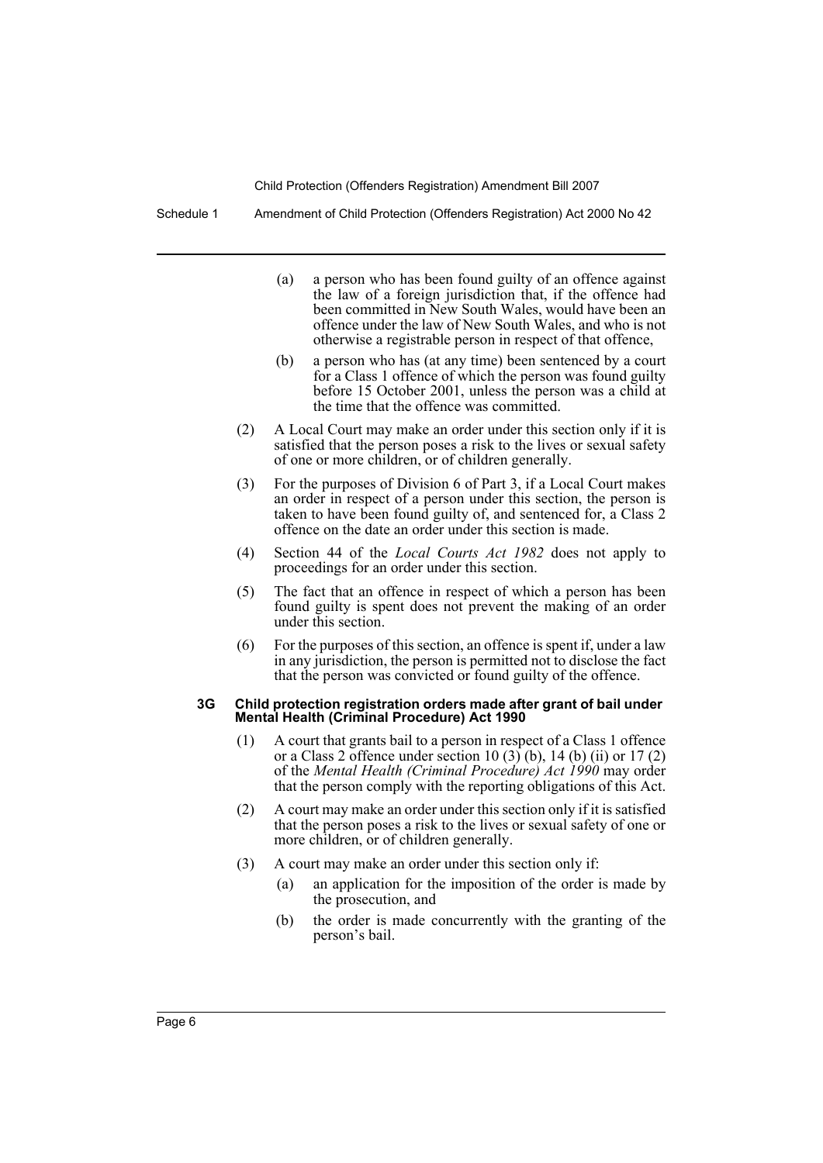Schedule 1 Amendment of Child Protection (Offenders Registration) Act 2000 No 42

- (a) a person who has been found guilty of an offence against the law of a foreign jurisdiction that, if the offence had been committed in New South Wales, would have been an offence under the law of New South Wales, and who is not otherwise a registrable person in respect of that offence,
- (b) a person who has (at any time) been sentenced by a court for a Class 1 offence of which the person was found guilty before 15 October 2001, unless the person was a child at the time that the offence was committed.
- (2) A Local Court may make an order under this section only if it is satisfied that the person poses a risk to the lives or sexual safety of one or more children, or of children generally.
- (3) For the purposes of Division 6 of Part 3, if a Local Court makes an order in respect of a person under this section, the person is taken to have been found guilty of, and sentenced for, a Class 2 offence on the date an order under this section is made.
- (4) Section 44 of the *Local Courts Act 1982* does not apply to proceedings for an order under this section.
- (5) The fact that an offence in respect of which a person has been found guilty is spent does not prevent the making of an order under this section.
- (6) For the purposes of this section, an offence is spent if, under a law in any jurisdiction, the person is permitted not to disclose the fact that the person was convicted or found guilty of the offence.

### **3G Child protection registration orders made after grant of bail under Mental Health (Criminal Procedure) Act 1990**

- (1) A court that grants bail to a person in respect of a Class 1 offence or a Class 2 offence under section 10 (3) (b), 14 (b) (ii) or 17 (2) of the *Mental Health (Criminal Procedure) Act 1990* may order that the person comply with the reporting obligations of this Act.
- (2) A court may make an order under this section only if it is satisfied that the person poses a risk to the lives or sexual safety of one or more children, or of children generally.
- (3) A court may make an order under this section only if:
	- (a) an application for the imposition of the order is made by the prosecution, and
	- (b) the order is made concurrently with the granting of the person's bail.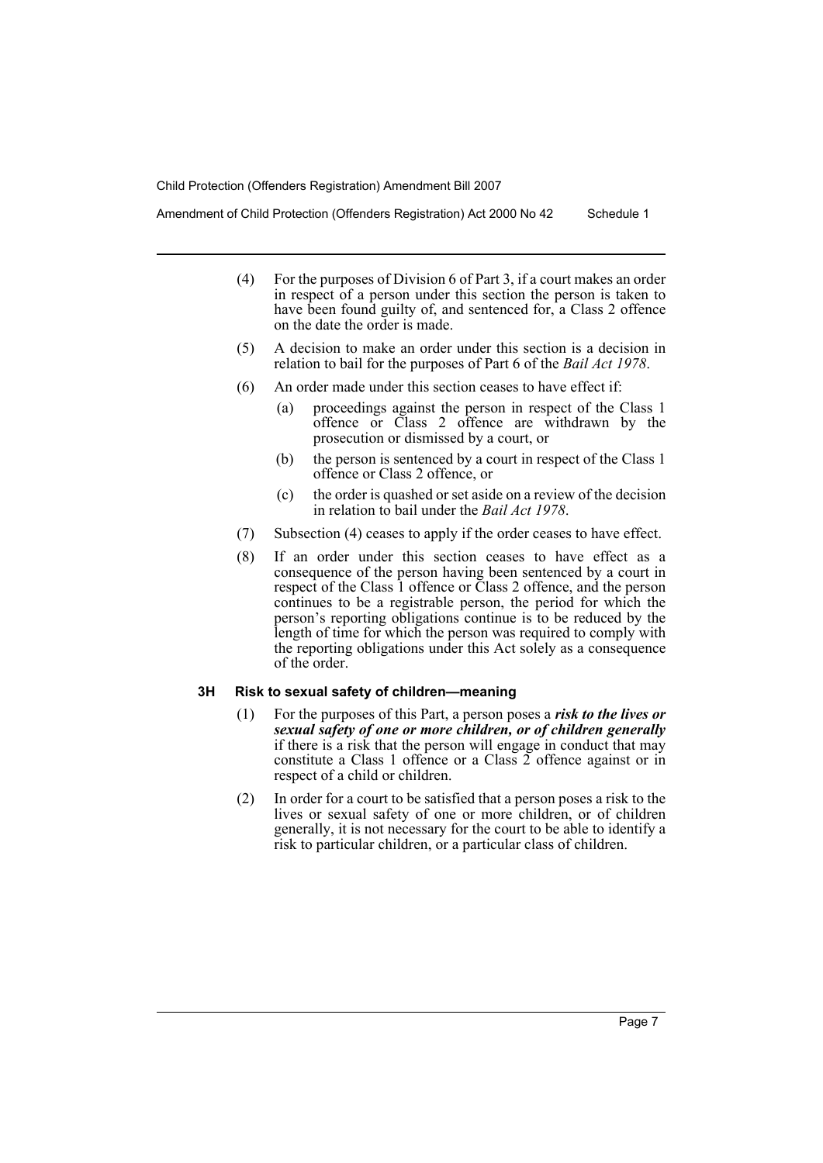Amendment of Child Protection (Offenders Registration) Act 2000 No 42 Schedule 1

- (4) For the purposes of Division 6 of Part 3, if a court makes an order in respect of a person under this section the person is taken to have been found guilty of, and sentenced for, a Class 2 offence on the date the order is made.
- (5) A decision to make an order under this section is a decision in relation to bail for the purposes of Part 6 of the *Bail Act 1978*.
- (6) An order made under this section ceases to have effect if:
	- (a) proceedings against the person in respect of the Class 1 offence or Class 2 offence are withdrawn by the prosecution or dismissed by a court, or
	- (b) the person is sentenced by a court in respect of the Class 1 offence or Class 2 offence, or
	- (c) the order is quashed or set aside on a review of the decision in relation to bail under the *Bail Act 1978*.
- (7) Subsection (4) ceases to apply if the order ceases to have effect.
- (8) If an order under this section ceases to have effect as a consequence of the person having been sentenced by a court in respect of the Class 1 offence or Class 2 offence, and the person continues to be a registrable person, the period for which the person's reporting obligations continue is to be reduced by the length of time for which the person was required to comply with the reporting obligations under this Act solely as a consequence of the order.

### **3H Risk to sexual safety of children—meaning**

- (1) For the purposes of this Part, a person poses a *risk to the lives or sexual safety of one or more children, or of children generally* if there is a risk that the person will engage in conduct that may constitute a Class 1 offence or a Class 2 offence against or in respect of a child or children.
- (2) In order for a court to be satisfied that a person poses a risk to the lives or sexual safety of one or more children, or of children generally, it is not necessary for the court to be able to identify a risk to particular children, or a particular class of children.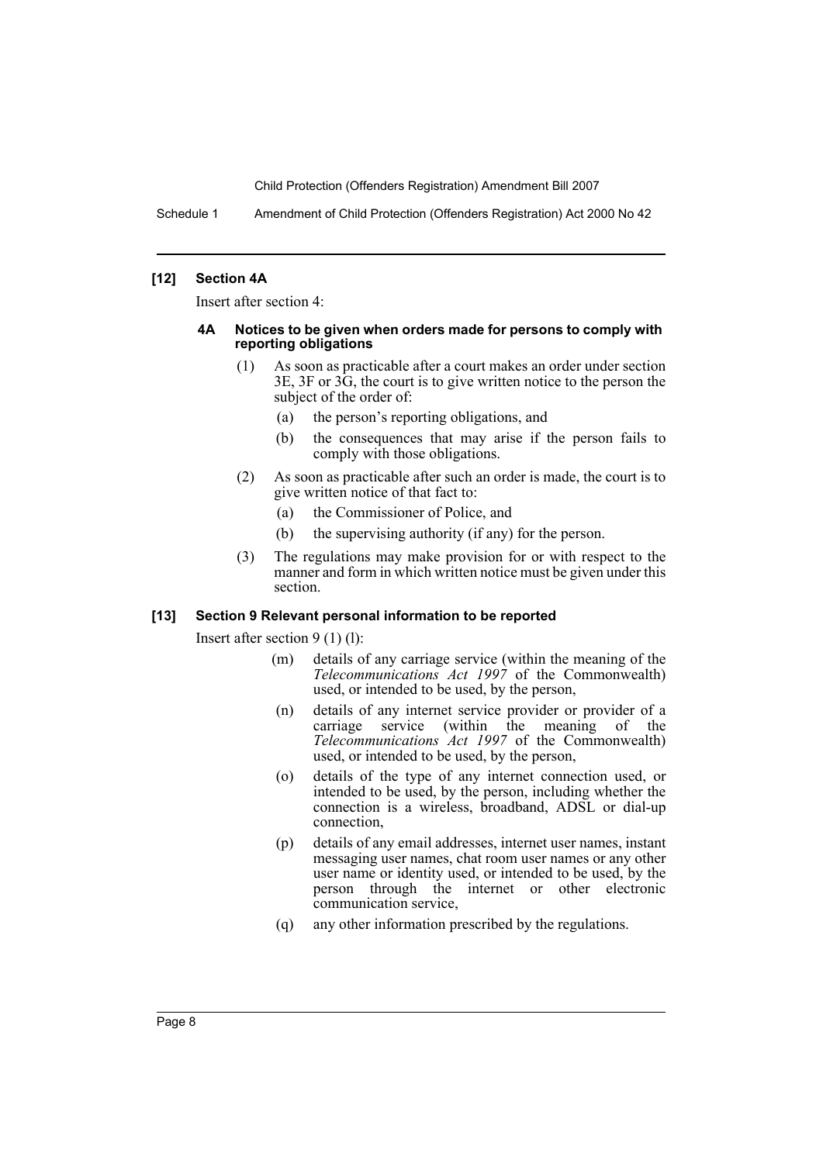Schedule 1 Amendment of Child Protection (Offenders Registration) Act 2000 No 42

### **[12] Section 4A**

Insert after section 4:

### **4A Notices to be given when orders made for persons to comply with reporting obligations**

- (1) As soon as practicable after a court makes an order under section 3E, 3F or 3G, the court is to give written notice to the person the subject of the order of:
	- (a) the person's reporting obligations, and
	- (b) the consequences that may arise if the person fails to comply with those obligations.
- (2) As soon as practicable after such an order is made, the court is to give written notice of that fact to:
	- (a) the Commissioner of Police, and
	- (b) the supervising authority (if any) for the person.
- (3) The regulations may make provision for or with respect to the manner and form in which written notice must be given under this section.

## **[13] Section 9 Relevant personal information to be reported**

Insert after section 9 (1) (l):

- (m) details of any carriage service (within the meaning of the *Telecommunications Act 1997* of the Commonwealth) used, or intended to be used, by the person,
- (n) details of any internet service provider or provider of a carriage service (within the meaning of the *Telecommunications Act 1997* of the Commonwealth) used, or intended to be used, by the person,
- (o) details of the type of any internet connection used, or intended to be used, by the person, including whether the connection is a wireless, broadband, ADSL or dial-up connection,
- (p) details of any email addresses, internet user names, instant messaging user names, chat room user names or any other user name or identity used, or intended to be used, by the person through the internet or other electronic communication service,
- (q) any other information prescribed by the regulations.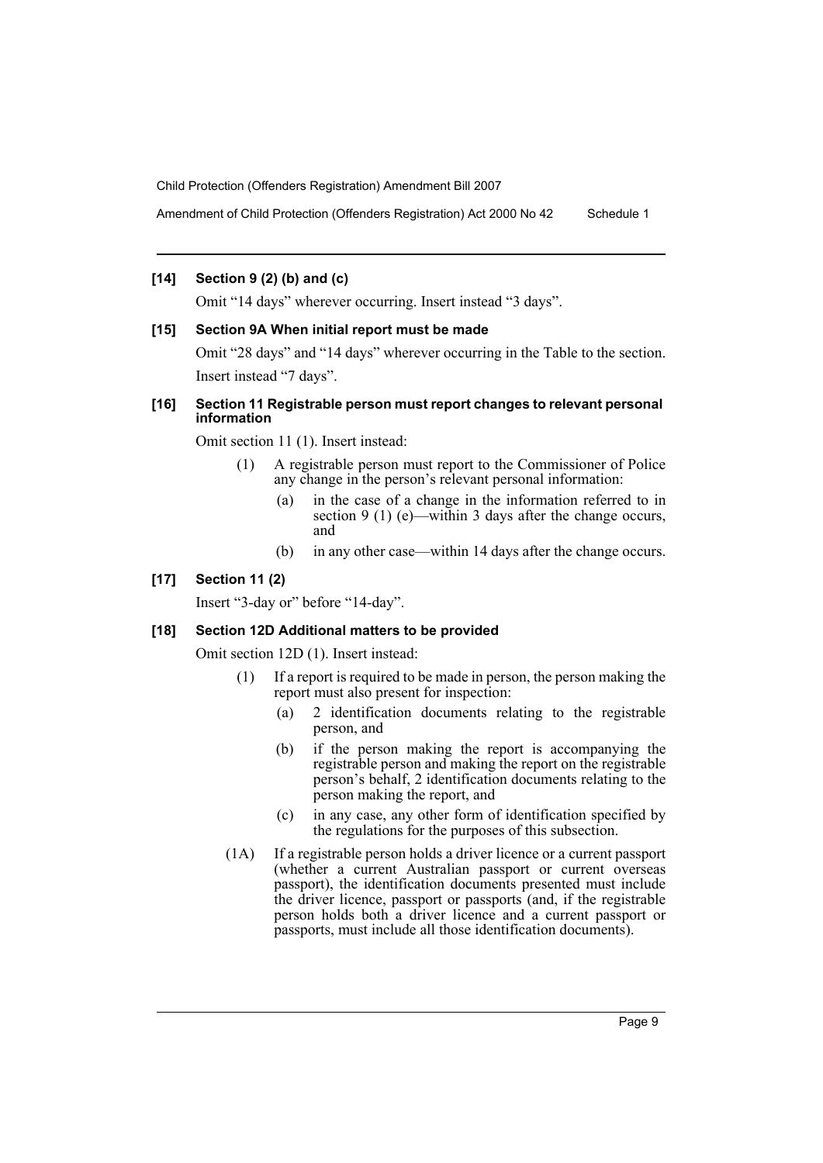Amendment of Child Protection (Offenders Registration) Act 2000 No 42 Schedule 1

## **[14] Section 9 (2) (b) and (c)**

Omit "14 days" wherever occurring. Insert instead "3 days".

## **[15] Section 9A When initial report must be made**

Omit "28 days" and "14 days" wherever occurring in the Table to the section. Insert instead "7 days".

## **[16] Section 11 Registrable person must report changes to relevant personal information**

Omit section 11 (1). Insert instead:

- (1) A registrable person must report to the Commissioner of Police any change in the person's relevant personal information:
	- (a) in the case of a change in the information referred to in section 9 (1) (e)—within 3 days after the change occurs, and
	- (b) in any other case—within 14 days after the change occurs.

## **[17] Section 11 (2)**

Insert "3-day or" before "14-day".

### **[18] Section 12D Additional matters to be provided**

Omit section 12D (1). Insert instead:

- (1) If a report is required to be made in person, the person making the report must also present for inspection:
	- (a) 2 identification documents relating to the registrable person, and
	- (b) if the person making the report is accompanying the registrable person and making the report on the registrable person's behalf, 2 identification documents relating to the person making the report, and
	- (c) in any case, any other form of identification specified by the regulations for the purposes of this subsection.
- (1A) If a registrable person holds a driver licence or a current passport (whether a current Australian passport or current overseas passport), the identification documents presented must include the driver licence, passport or passports (and, if the registrable person holds both a driver licence and a current passport or passports, must include all those identification documents).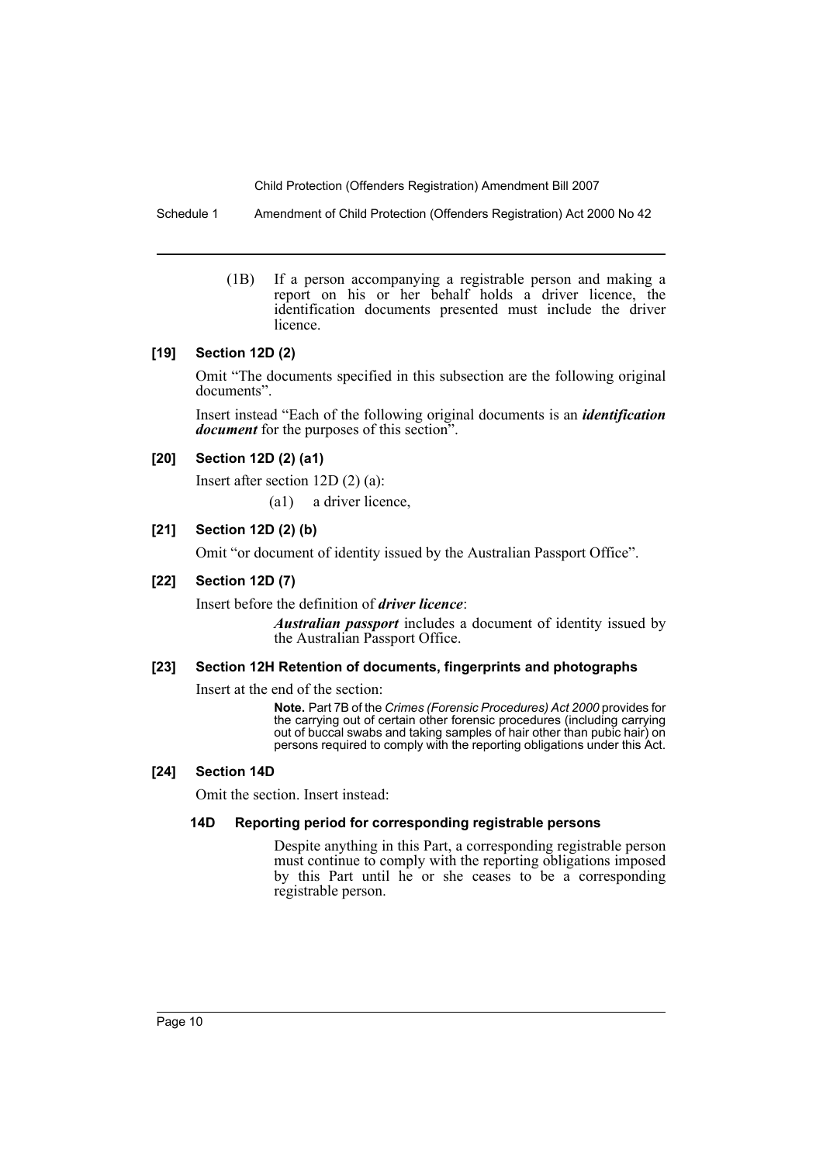Schedule 1 Amendment of Child Protection (Offenders Registration) Act 2000 No 42

(1B) If a person accompanying a registrable person and making a report on his or her behalf holds a driver licence, the identification documents presented must include the driver licence.

## **[19] Section 12D (2)**

Omit "The documents specified in this subsection are the following original documents".

Insert instead "Each of the following original documents is an *identification document* for the purposes of this section".

## **[20] Section 12D (2) (a1)**

Insert after section 12D (2) (a):

(a1) a driver licence,

## **[21] Section 12D (2) (b)**

Omit "or document of identity issued by the Australian Passport Office".

## **[22] Section 12D (7)**

Insert before the definition of *driver licence*:

*Australian passport* includes a document of identity issued by the Australian Passport Office.

## **[23] Section 12H Retention of documents, fingerprints and photographs**

Insert at the end of the section:

**Note.** Part 7B of the *Crimes (Forensic Procedures) Act 2000* provides for the carrying out of certain other forensic procedures (including carrying out of buccal swabs and taking samples of hair other than pubic hair) on persons required to comply with the reporting obligations under this Act.

## **[24] Section 14D**

Omit the section. Insert instead:

## **14D Reporting period for corresponding registrable persons**

Despite anything in this Part, a corresponding registrable person must continue to comply with the reporting obligations imposed by this Part until he or she ceases to be a corresponding registrable person.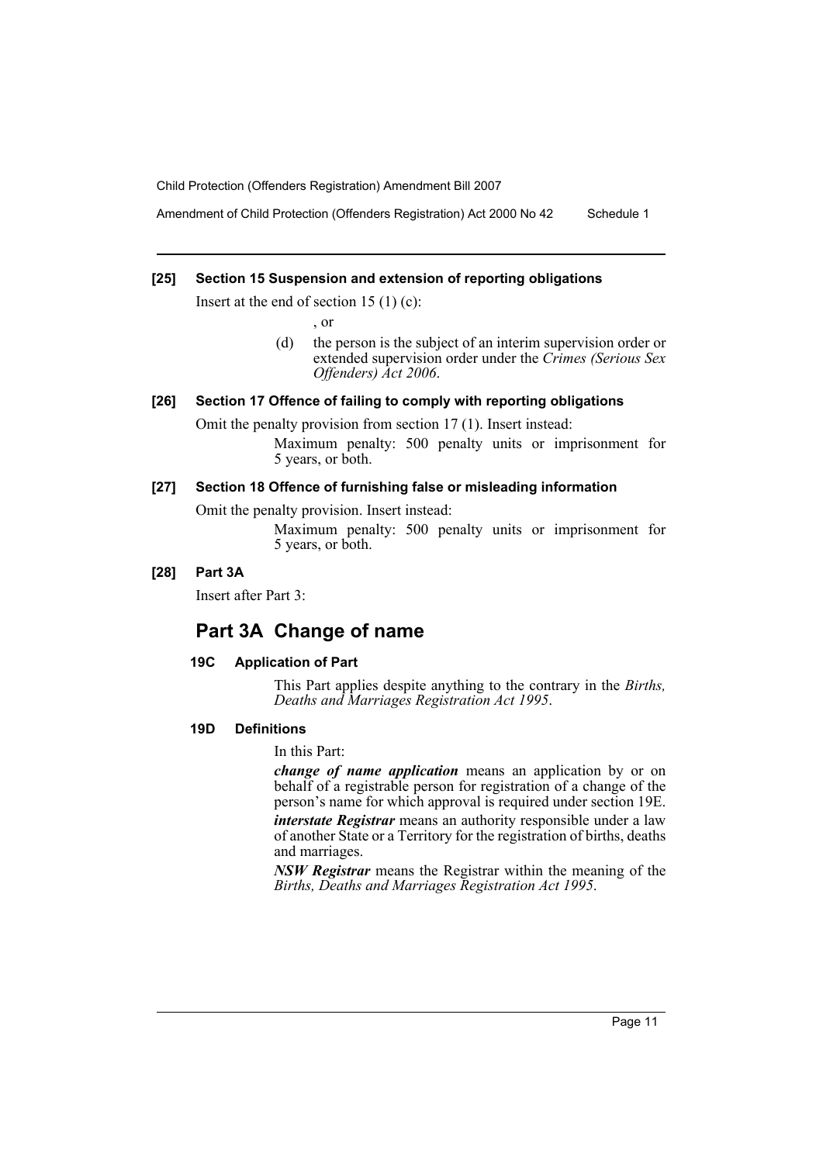Amendment of Child Protection (Offenders Registration) Act 2000 No 42 Schedule 1

## **[25] Section 15 Suspension and extension of reporting obligations**

Insert at the end of section 15  $(1)$  (c):

, or

(d) the person is the subject of an interim supervision order or extended supervision order under the *Crimes (Serious Sex Offenders) Act 2006*.

## **[26] Section 17 Offence of failing to comply with reporting obligations**

Omit the penalty provision from section 17 (1). Insert instead:

Maximum penalty: 500 penalty units or imprisonment for 5 years, or both.

## **[27] Section 18 Offence of furnishing false or misleading information**

Omit the penalty provision. Insert instead:

Maximum penalty: 500 penalty units or imprisonment for 5 years, or both.

## **[28] Part 3A**

Insert after Part 3:

## **Part 3A Change of name**

## **19C Application of Part**

This Part applies despite anything to the contrary in the *Births, Deaths and Marriages Registration Act 1995*.

## **19D Definitions**

In this Part:

*change of name application* means an application by or on behalf of a registrable person for registration of a change of the person's name for which approval is required under section 19E. *interstate Registrar* means an authority responsible under a law of another State or a Territory for the registration of births, deaths and marriages.

*NSW Registrar* means the Registrar within the meaning of the *Births, Deaths and Marriages Registration Act 1995*.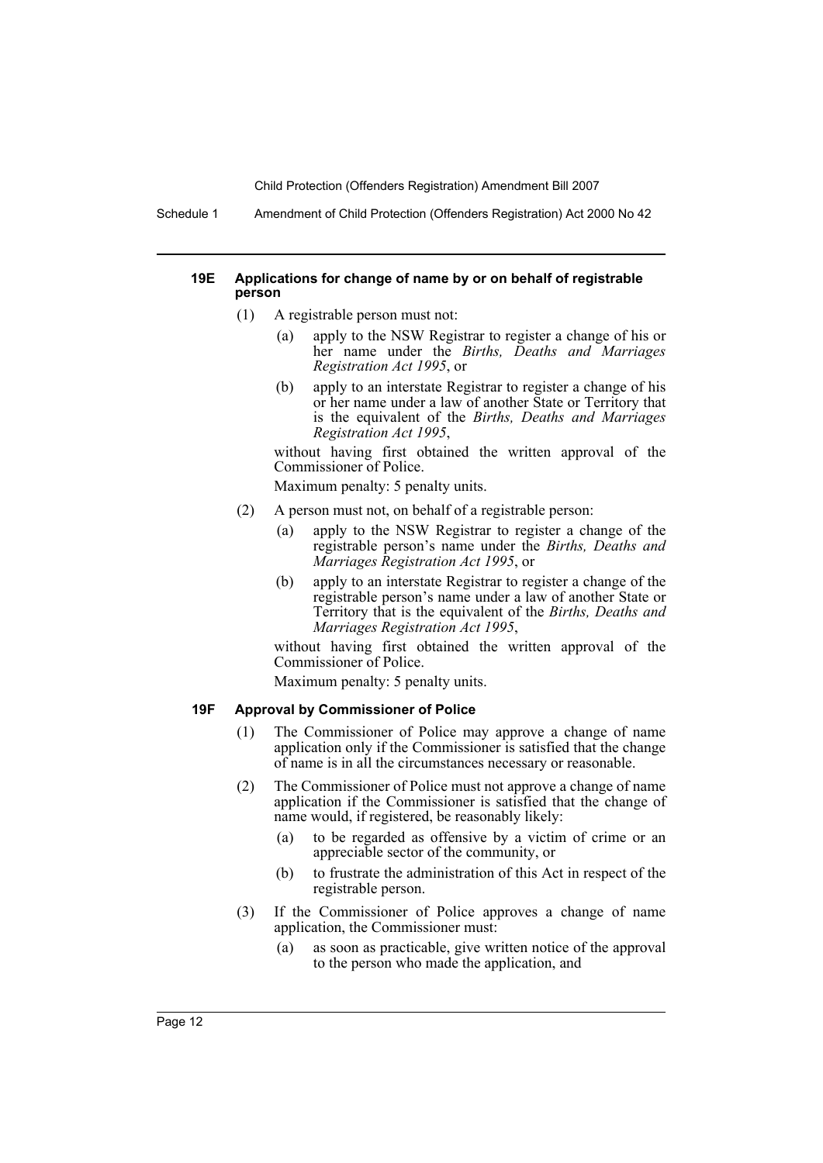Schedule 1 Amendment of Child Protection (Offenders Registration) Act 2000 No 42

### **19E Applications for change of name by or on behalf of registrable person**

- (1) A registrable person must not:
	- (a) apply to the NSW Registrar to register a change of his or her name under the *Births, Deaths and Marriages Registration Act 1995*, or
	- (b) apply to an interstate Registrar to register a change of his or her name under a law of another State or Territory that is the equivalent of the *Births, Deaths and Marriages Registration Act 1995*,

without having first obtained the written approval of the Commissioner of Police.

Maximum penalty: 5 penalty units.

- (2) A person must not, on behalf of a registrable person:
	- (a) apply to the NSW Registrar to register a change of the registrable person's name under the *Births, Deaths and Marriages Registration Act 1995*, or
	- (b) apply to an interstate Registrar to register a change of the registrable person's name under a law of another State or Territory that is the equivalent of the *Births, Deaths and Marriages Registration Act 1995*,

without having first obtained the written approval of the Commissioner of Police.

Maximum penalty: 5 penalty units.

### **19F Approval by Commissioner of Police**

- (1) The Commissioner of Police may approve a change of name application only if the Commissioner is satisfied that the change of name is in all the circumstances necessary or reasonable.
- (2) The Commissioner of Police must not approve a change of name application if the Commissioner is satisfied that the change of name would, if registered, be reasonably likely:
	- (a) to be regarded as offensive by a victim of crime or an appreciable sector of the community, or
	- (b) to frustrate the administration of this Act in respect of the registrable person.
- (3) If the Commissioner of Police approves a change of name application, the Commissioner must:
	- (a) as soon as practicable, give written notice of the approval to the person who made the application, and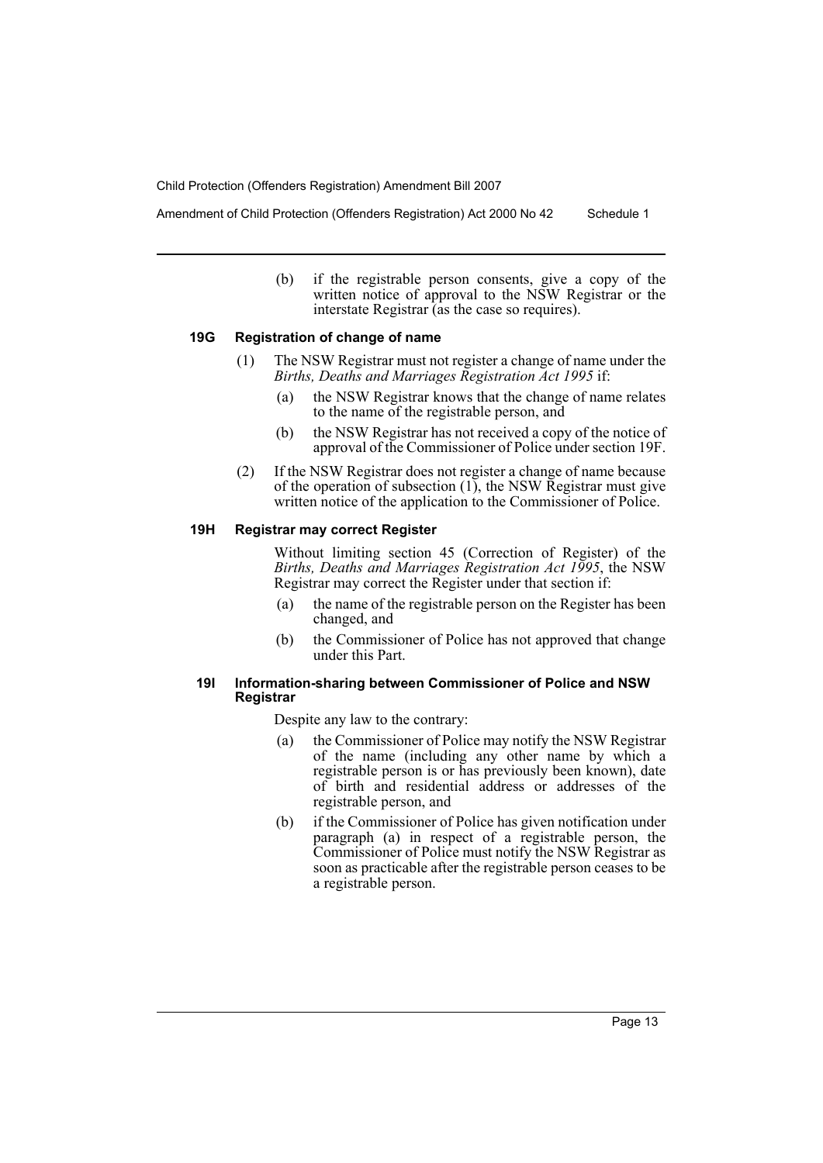Amendment of Child Protection (Offenders Registration) Act 2000 No 42 Schedule 1

(b) if the registrable person consents, give a copy of the written notice of approval to the NSW Registrar or the interstate Registrar  $\overline{\text{}}$  (as the case so requires).

### **19G Registration of change of name**

- (1) The NSW Registrar must not register a change of name under the *Births, Deaths and Marriages Registration Act 1995* if:
	- (a) the NSW Registrar knows that the change of name relates to the name of the registrable person, and
	- (b) the NSW Registrar has not received a copy of the notice of approval of the Commissioner of Police under section 19F.
- (2) If the NSW Registrar does not register a change of name because of the operation of subsection (1), the NSW Registrar must give written notice of the application to the Commissioner of Police.

### **19H Registrar may correct Register**

Without limiting section 45 (Correction of Register) of the *Births, Deaths and Marriages Registration Act 1995*, the NSW Registrar may correct the Register under that section if:

- (a) the name of the registrable person on the Register has been changed, and
- (b) the Commissioner of Police has not approved that change under this Part.

## **19I Information-sharing between Commissioner of Police and NSW Registrar**

Despite any law to the contrary:

- (a) the Commissioner of Police may notify the NSW Registrar of the name (including any other name by which a registrable person is or has previously been known), date of birth and residential address or addresses of the registrable person, and
- (b) if the Commissioner of Police has given notification under paragraph (a) in respect of a registrable person, the Commissioner of Police must notify the NSW Registrar as soon as practicable after the registrable person ceases to be a registrable person.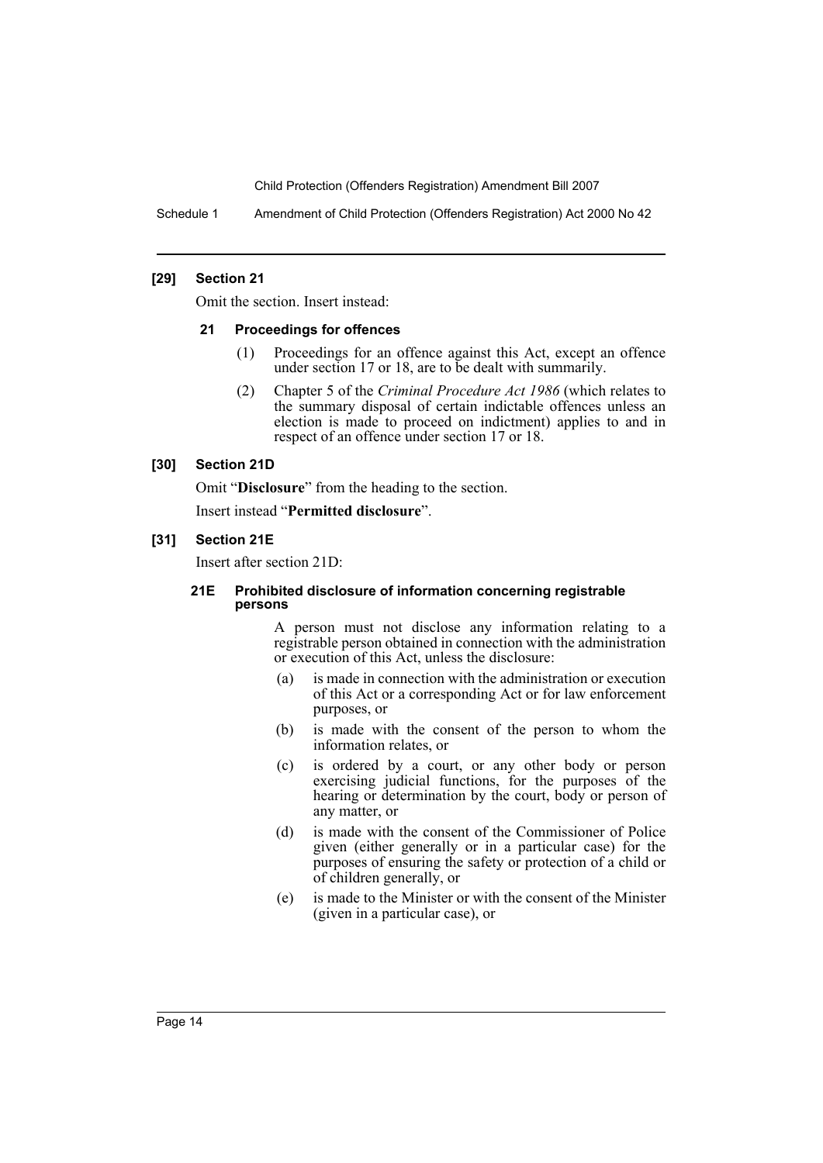Schedule 1 Amendment of Child Protection (Offenders Registration) Act 2000 No 42

## **[29] Section 21**

Omit the section. Insert instead:

## **21 Proceedings for offences**

- (1) Proceedings for an offence against this Act, except an offence under section 17 or 18, are to be dealt with summarily.
- (2) Chapter 5 of the *Criminal Procedure Act 1986* (which relates to the summary disposal of certain indictable offences unless an election is made to proceed on indictment) applies to and in respect of an offence under section 17 or 18.

## **[30] Section 21D**

Omit "**Disclosure**" from the heading to the section.

Insert instead "**Permitted disclosure**".

## **[31] Section 21E**

Insert after section 21D:

### **21E Prohibited disclosure of information concerning registrable persons**

A person must not disclose any information relating to a registrable person obtained in connection with the administration or execution of this Act, unless the disclosure:

- (a) is made in connection with the administration or execution of this Act or a corresponding Act or for law enforcement purposes, or
- (b) is made with the consent of the person to whom the information relates, or
- (c) is ordered by a court, or any other body or person exercising judicial functions, for the purposes of the hearing or determination by the court, body or person of any matter, or
- (d) is made with the consent of the Commissioner of Police given (either generally or in a particular case) for the purposes of ensuring the safety or protection of a child or of children generally, or
- (e) is made to the Minister or with the consent of the Minister (given in a particular case), or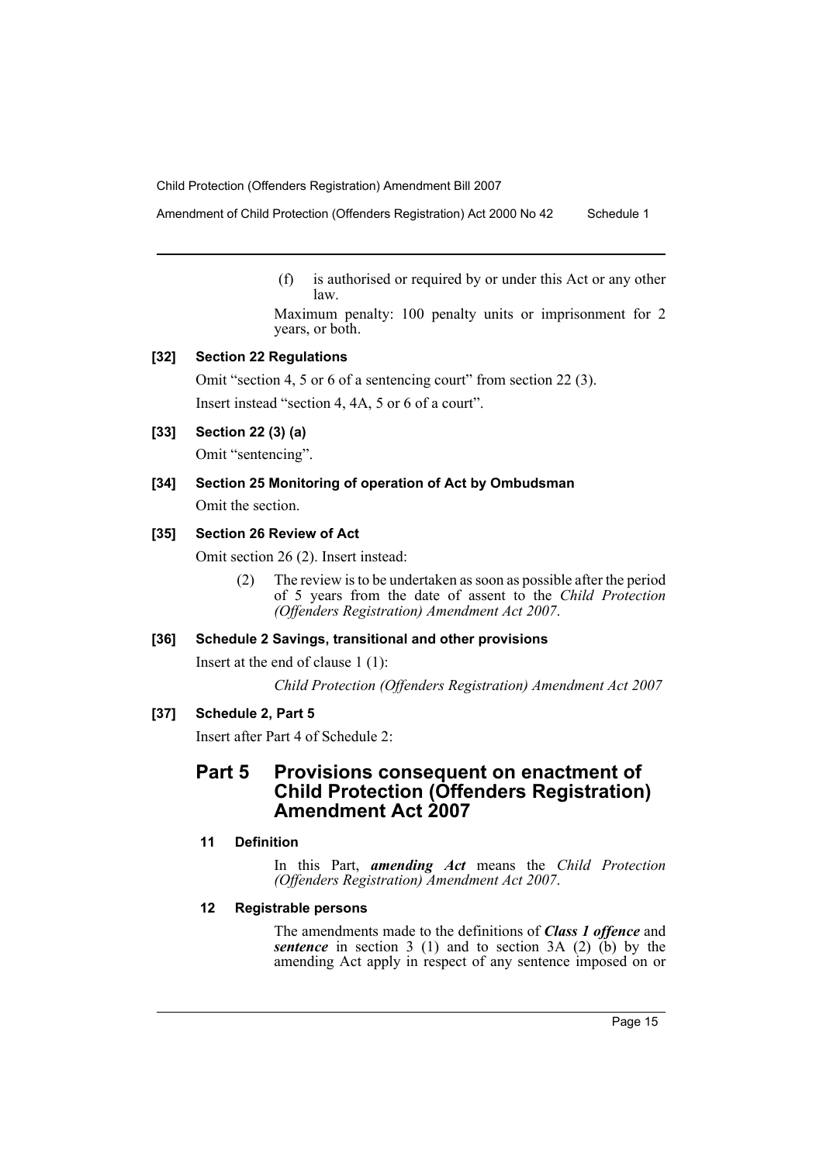Amendment of Child Protection (Offenders Registration) Act 2000 No 42 Schedule 1

(f) is authorised or required by or under this Act or any other law.

Maximum penalty: 100 penalty units or imprisonment for 2 years, or both.

## **[32] Section 22 Regulations**

Omit "section 4, 5 or 6 of a sentencing court" from section 22 (3). Insert instead "section 4, 4A, 5 or 6 of a court".

## **[33] Section 22 (3) (a)**

Omit "sentencing".

# **[34] Section 25 Monitoring of operation of Act by Ombudsman**

Omit the section.

## **[35] Section 26 Review of Act**

Omit section 26 (2). Insert instead:

(2) The review is to be undertaken as soon as possible after the period of 5 years from the date of assent to the *Child Protection (Offenders Registration) Amendment Act 2007*.

## **[36] Schedule 2 Savings, transitional and other provisions**

Insert at the end of clause 1 (1):

*Child Protection (Offenders Registration) Amendment Act 2007*

## **[37] Schedule 2, Part 5**

Insert after Part 4 of Schedule 2:

# **Part 5 Provisions consequent on enactment of Child Protection (Offenders Registration) Amendment Act 2007**

## **11 Definition**

In this Part, *amending Act* means the *Child Protection (Offenders Registration) Amendment Act 2007*.

## **12 Registrable persons**

The amendments made to the definitions of *Class 1 offence* and *sentence* in section 3 (1) and to section 3A (2)  $(b)$  by the amending Act apply in respect of any sentence imposed on or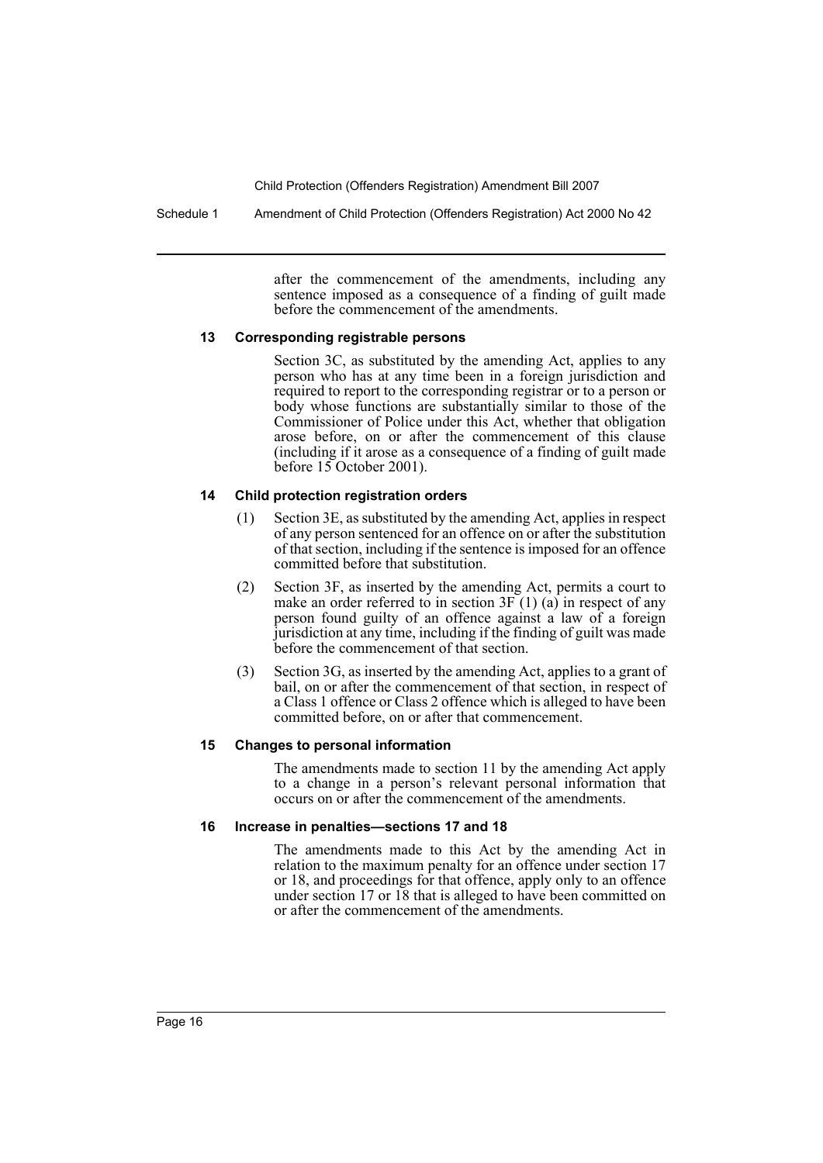Schedule 1 Amendment of Child Protection (Offenders Registration) Act 2000 No 42

after the commencement of the amendments, including any sentence imposed as a consequence of a finding of guilt made before the commencement of the amendments.

## **13 Corresponding registrable persons**

Section 3C, as substituted by the amending Act, applies to any person who has at any time been in a foreign jurisdiction and required to report to the corresponding registrar or to a person or body whose functions are substantially similar to those of the Commissioner of Police under this Act, whether that obligation arose before, on or after the commencement of this clause (including if it arose as a consequence of a finding of guilt made before 15 October 2001).

## **14 Child protection registration orders**

- (1) Section 3E, as substituted by the amending Act, applies in respect of any person sentenced for an offence on or after the substitution of that section, including if the sentence is imposed for an offence committed before that substitution.
- (2) Section 3F, as inserted by the amending Act, permits a court to make an order referred to in section  $3F(1)$  (a) in respect of any person found guilty of an offence against a law of a foreign jurisdiction at any time, including if the finding of guilt was made before the commencement of that section.
- (3) Section 3G, as inserted by the amending Act, applies to a grant of bail, on or after the commencement of that section, in respect of a Class 1 offence or Class 2 offence which is alleged to have been committed before, on or after that commencement.

## **15 Changes to personal information**

The amendments made to section 11 by the amending Act apply to a change in a person's relevant personal information that occurs on or after the commencement of the amendments.

## **16 Increase in penalties—sections 17 and 18**

The amendments made to this Act by the amending Act in relation to the maximum penalty for an offence under section 17 or 18, and proceedings for that offence, apply only to an offence under section 17 or 18 that is alleged to have been committed on or after the commencement of the amendments.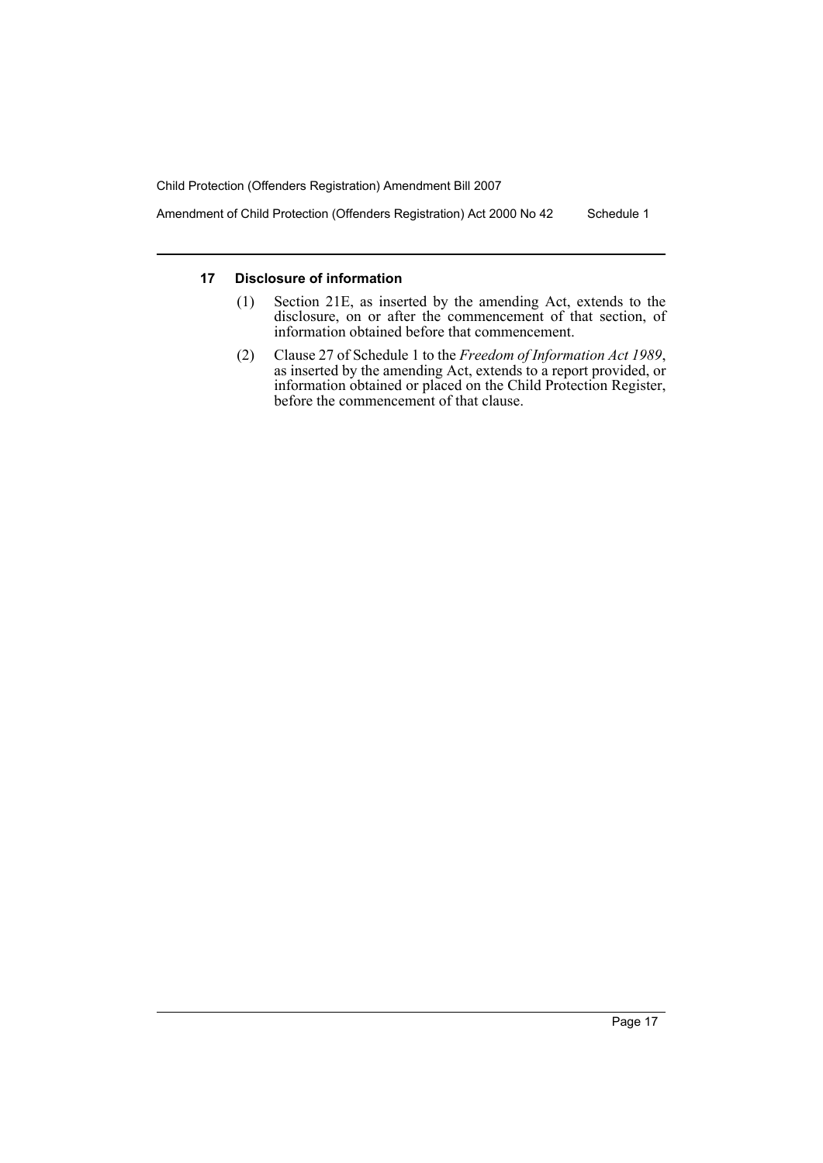Amendment of Child Protection (Offenders Registration) Act 2000 No 42 Schedule 1

## **17 Disclosure of information**

- (1) Section 21E, as inserted by the amending Act, extends to the disclosure, on or after the commencement of that section, of information obtained before that commencement.
- (2) Clause 27 of Schedule 1 to the *Freedom of Information Act 1989*, as inserted by the amending Act, extends to a report provided, or information obtained or placed on the Child Protection Register, before the commencement of that clause.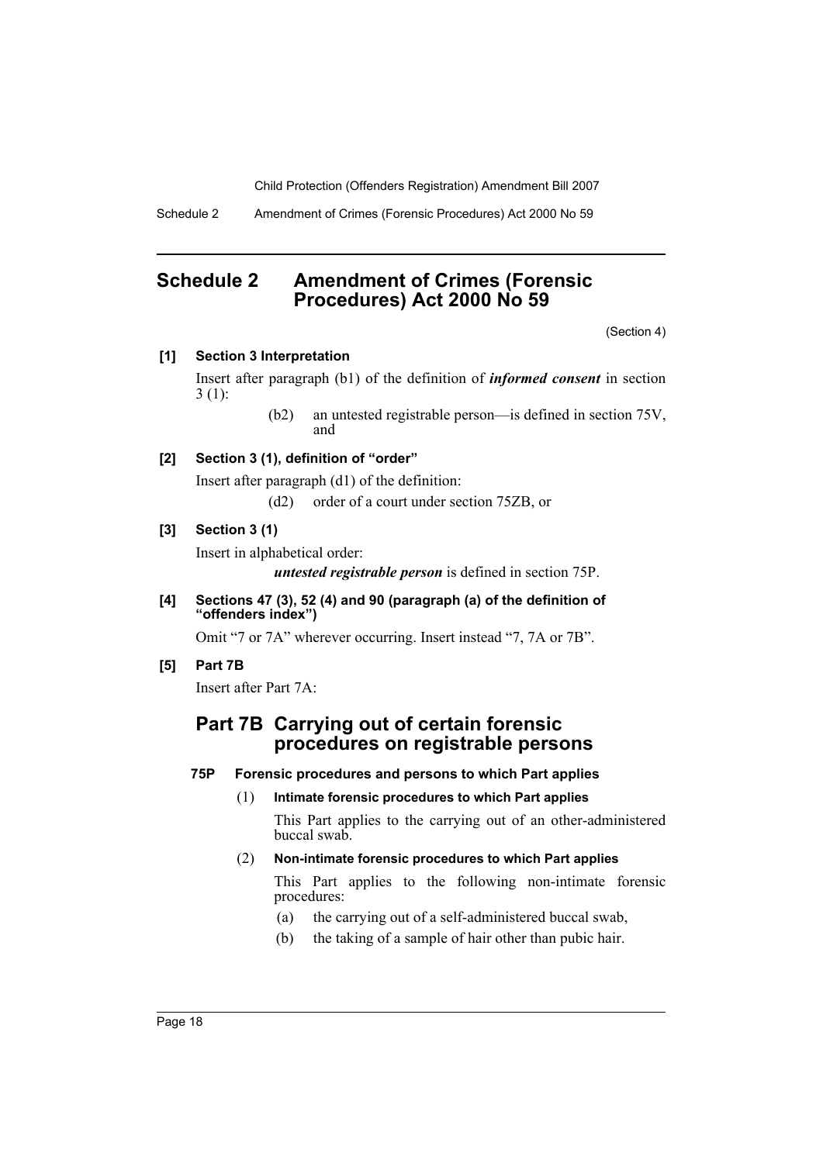Schedule 2 Amendment of Crimes (Forensic Procedures) Act 2000 No 59

# <span id="page-18-0"></span>**Schedule 2 Amendment of Crimes (Forensic Procedures) Act 2000 No 59**

(Section 4)

## **[1] Section 3 Interpretation**

Insert after paragraph (b1) of the definition of *informed consent* in section 3 (1):

> (b2) an untested registrable person—is defined in section 75V, and

## **[2] Section 3 (1), definition of "order"**

Insert after paragraph (d1) of the definition: (d2) order of a court under section 75ZB, or

**[3] Section 3 (1)**

Insert in alphabetical order:

*untested registrable person* is defined in section 75P.

**[4] Sections 47 (3), 52 (4) and 90 (paragraph (a) of the definition of "offenders index")**

Omit "7 or 7A" wherever occurring. Insert instead "7, 7A or 7B".

**[5] Part 7B**

Insert after Part 7A:

# **Part 7B Carrying out of certain forensic procedures on registrable persons**

## **75P Forensic procedures and persons to which Part applies**

(1) **Intimate forensic procedures to which Part applies**

This Part applies to the carrying out of an other-administered buccal swab.

## (2) **Non-intimate forensic procedures to which Part applies**

This Part applies to the following non-intimate forensic procedures:

- (a) the carrying out of a self-administered buccal swab,
- (b) the taking of a sample of hair other than pubic hair.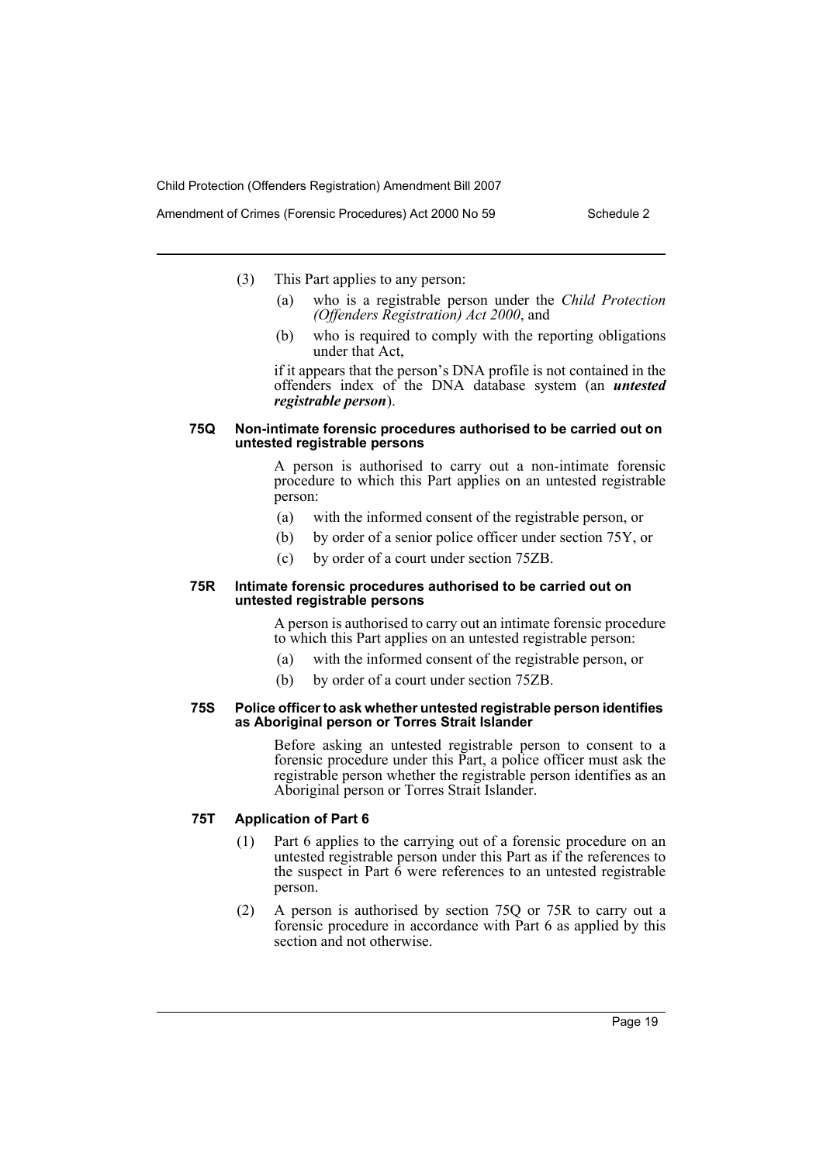- (3) This Part applies to any person:
	- (a) who is a registrable person under the *Child Protection (Offenders Registration) Act 2000*, and
	- (b) who is required to comply with the reporting obligations under that Act,

if it appears that the person's DNA profile is not contained in the offenders index of the DNA database system (an *untested registrable person*).

### **75Q Non-intimate forensic procedures authorised to be carried out on untested registrable persons**

A person is authorised to carry out a non-intimate forensic procedure to which this Part applies on an untested registrable person:

- (a) with the informed consent of the registrable person, or
- (b) by order of a senior police officer under section 75Y, or
- (c) by order of a court under section 75ZB.

### **75R Intimate forensic procedures authorised to be carried out on untested registrable persons**

A person is authorised to carry out an intimate forensic procedure to which this Part applies on an untested registrable person:

- (a) with the informed consent of the registrable person, or
- (b) by order of a court under section 75ZB.

### **75S Police officer to ask whether untested registrable person identifies as Aboriginal person or Torres Strait Islander**

Before asking an untested registrable person to consent to a forensic procedure under this Part, a police officer must ask the registrable person whether the registrable person identifies as an Aboriginal person or Torres Strait Islander.

## **75T Application of Part 6**

- (1) Part 6 applies to the carrying out of a forensic procedure on an untested registrable person under this Part as if the references to the suspect in Part  $\vec{6}$  were references to an untested registrable person.
- (2) A person is authorised by section 75Q or 75R to carry out a forensic procedure in accordance with Part 6 as applied by this section and not otherwise.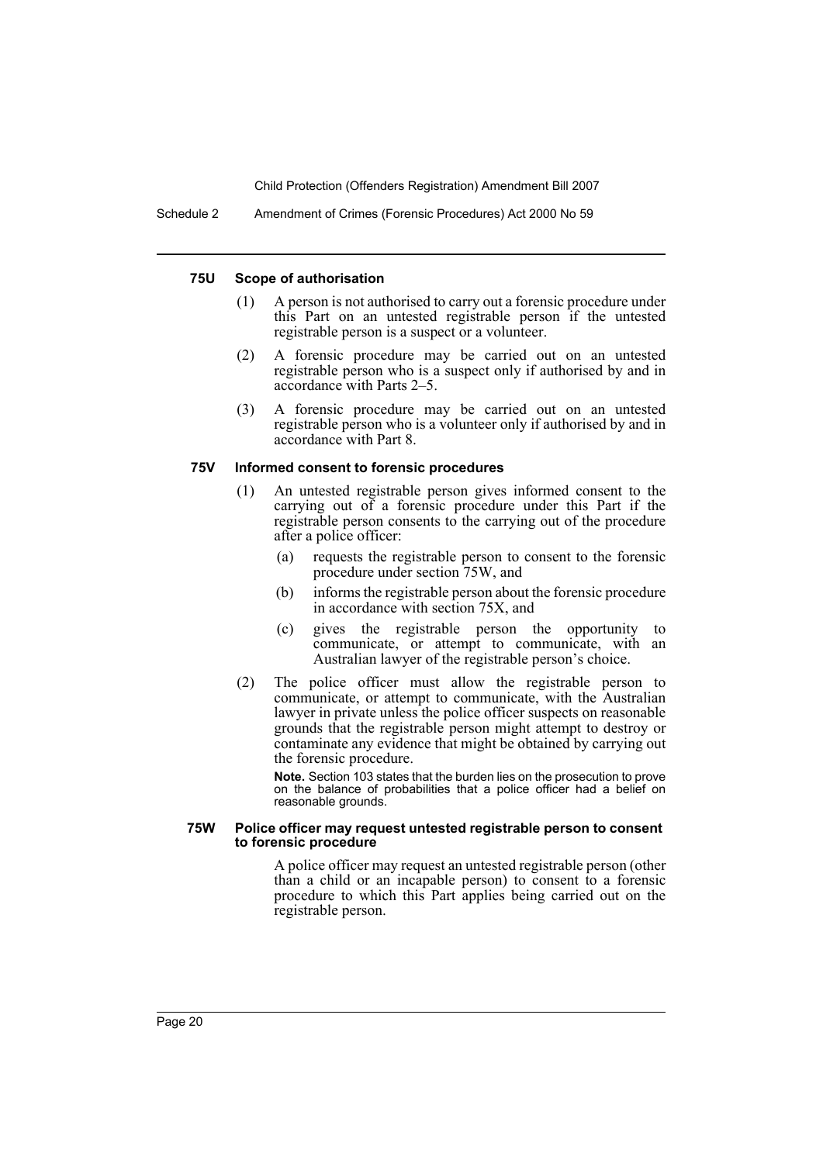Schedule 2 Amendment of Crimes (Forensic Procedures) Act 2000 No 59

### **75U Scope of authorisation**

- (1) A person is not authorised to carry out a forensic procedure under this Part on an untested registrable person if the untested registrable person is a suspect or a volunteer.
- (2) A forensic procedure may be carried out on an untested registrable person who is a suspect only if authorised by and in accordance with Parts 2–5.
- (3) A forensic procedure may be carried out on an untested registrable person who is a volunteer only if authorised by and in accordance with Part 8.

## **75V Informed consent to forensic procedures**

- (1) An untested registrable person gives informed consent to the carrying out of a forensic procedure under this Part if the registrable person consents to the carrying out of the procedure after a police officer:
	- (a) requests the registrable person to consent to the forensic procedure under section 75W, and
	- (b) informs the registrable person about the forensic procedure in accordance with section 75X, and
	- (c) gives the registrable person the opportunity to communicate, or attempt to communicate, with an Australian lawyer of the registrable person's choice.
- (2) The police officer must allow the registrable person to communicate, or attempt to communicate, with the Australian lawyer in private unless the police officer suspects on reasonable grounds that the registrable person might attempt to destroy or contaminate any evidence that might be obtained by carrying out the forensic procedure.

**Note.** Section 103 states that the burden lies on the prosecution to prove on the balance of probabilities that a police officer had a belief on reasonable grounds.

### **75W Police officer may request untested registrable person to consent to forensic procedure**

A police officer may request an untested registrable person (other than a child or an incapable person) to consent to a forensic procedure to which this Part applies being carried out on the registrable person.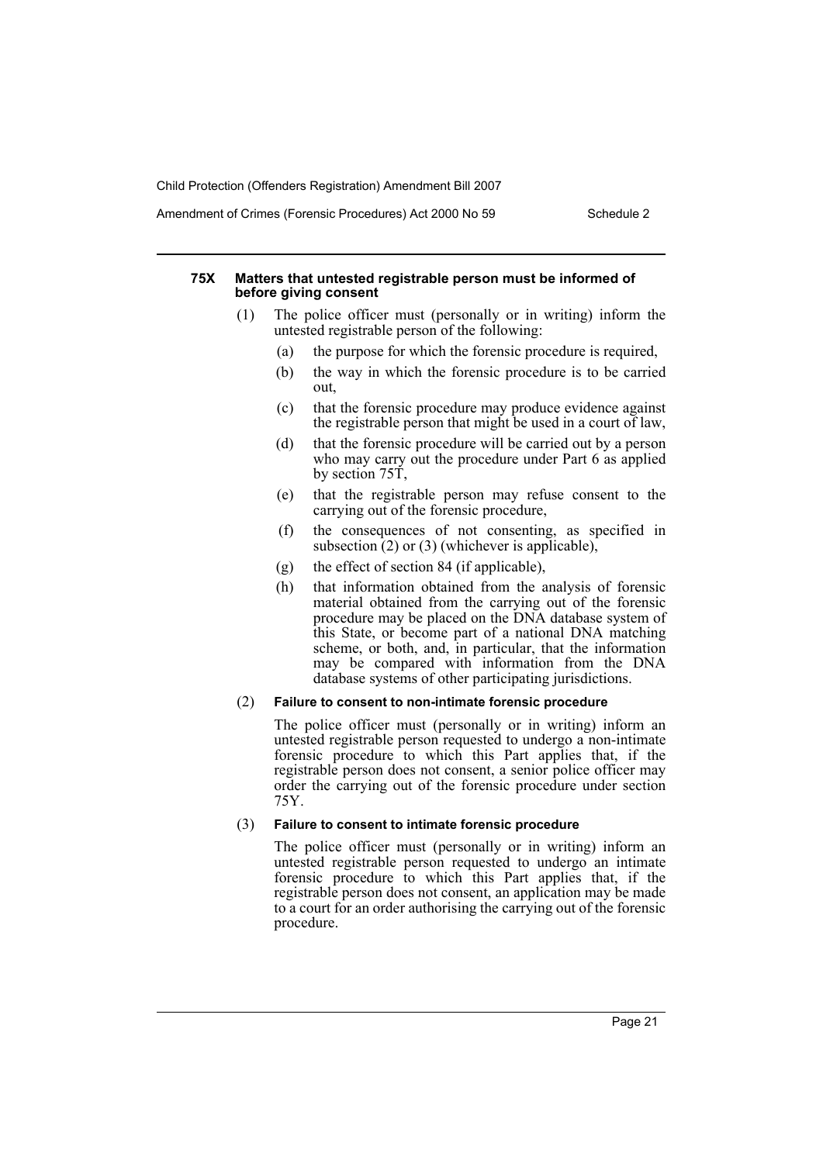## Amendment of Crimes (Forensic Procedures) Act 2000 No 59 Schedule 2

## **75X Matters that untested registrable person must be informed of before giving consent**

- (1) The police officer must (personally or in writing) inform the untested registrable person of the following:
	- (a) the purpose for which the forensic procedure is required,
	- (b) the way in which the forensic procedure is to be carried out,
	- (c) that the forensic procedure may produce evidence against the registrable person that might be used in a court of law,
	- (d) that the forensic procedure will be carried out by a person who may carry out the procedure under Part 6 as applied by section 75T,
	- (e) that the registrable person may refuse consent to the carrying out of the forensic procedure,
	- (f) the consequences of not consenting, as specified in subsection  $(2)$  or  $(3)$  (whichever is applicable),
	- (g) the effect of section 84 (if applicable),
	- (h) that information obtained from the analysis of forensic material obtained from the carrying out of the forensic procedure may be placed on the DNA database system of this State, or become part of a national DNA matching scheme, or both, and, in particular, that the information may be compared with information from the DNA database systems of other participating jurisdictions.

## (2) **Failure to consent to non-intimate forensic procedure**

The police officer must (personally or in writing) inform an untested registrable person requested to undergo a non-intimate forensic procedure to which this Part applies that, if the registrable person does not consent, a senior police officer may order the carrying out of the forensic procedure under section 75Y.

## (3) **Failure to consent to intimate forensic procedure**

The police officer must (personally or in writing) inform an untested registrable person requested to undergo an intimate forensic procedure to which this Part applies that, if the registrable person does not consent, an application may be made to a court for an order authorising the carrying out of the forensic procedure.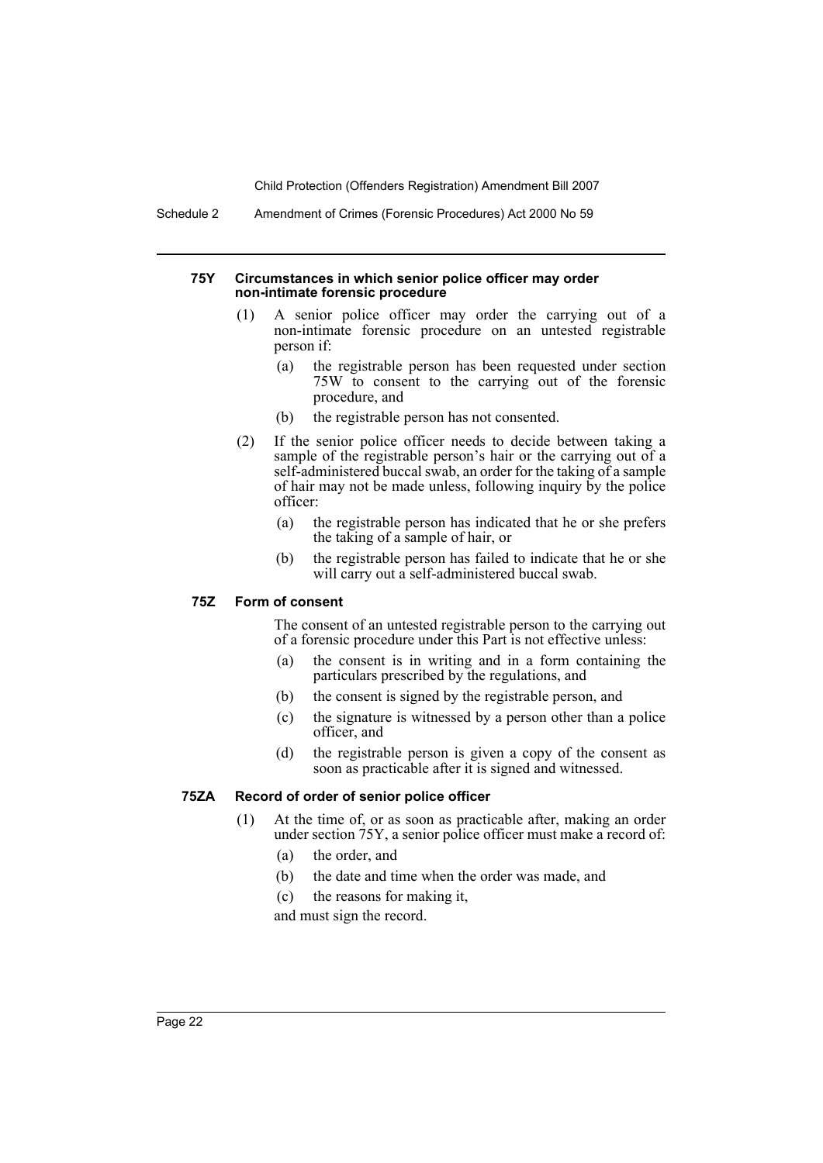Schedule 2 Amendment of Crimes (Forensic Procedures) Act 2000 No 59

### **75Y Circumstances in which senior police officer may order non-intimate forensic procedure**

- (1) A senior police officer may order the carrying out of a non-intimate forensic procedure on an untested registrable person if:
	- (a) the registrable person has been requested under section 75W to consent to the carrying out of the forensic procedure, and
	- (b) the registrable person has not consented.
- (2) If the senior police officer needs to decide between taking a sample of the registrable person's hair or the carrying out of a self-administered buccal swab, an order for the taking of a sample of hair may not be made unless, following inquiry by the police officer:
	- (a) the registrable person has indicated that he or she prefers the taking of a sample of hair, or
	- (b) the registrable person has failed to indicate that he or she will carry out a self-administered buccal swab.

## **75Z Form of consent**

The consent of an untested registrable person to the carrying out of a forensic procedure under this Part is not effective unless:

- (a) the consent is in writing and in a form containing the particulars prescribed by the regulations, and
- (b) the consent is signed by the registrable person, and
- (c) the signature is witnessed by a person other than a police officer, and
- (d) the registrable person is given a copy of the consent as soon as practicable after it is signed and witnessed.

## **75ZA Record of order of senior police officer**

- (1) At the time of, or as soon as practicable after, making an order under section 75Y, a senior police officer must make a record of:
	- (a) the order, and
	- (b) the date and time when the order was made, and
	- (c) the reasons for making it,

and must sign the record.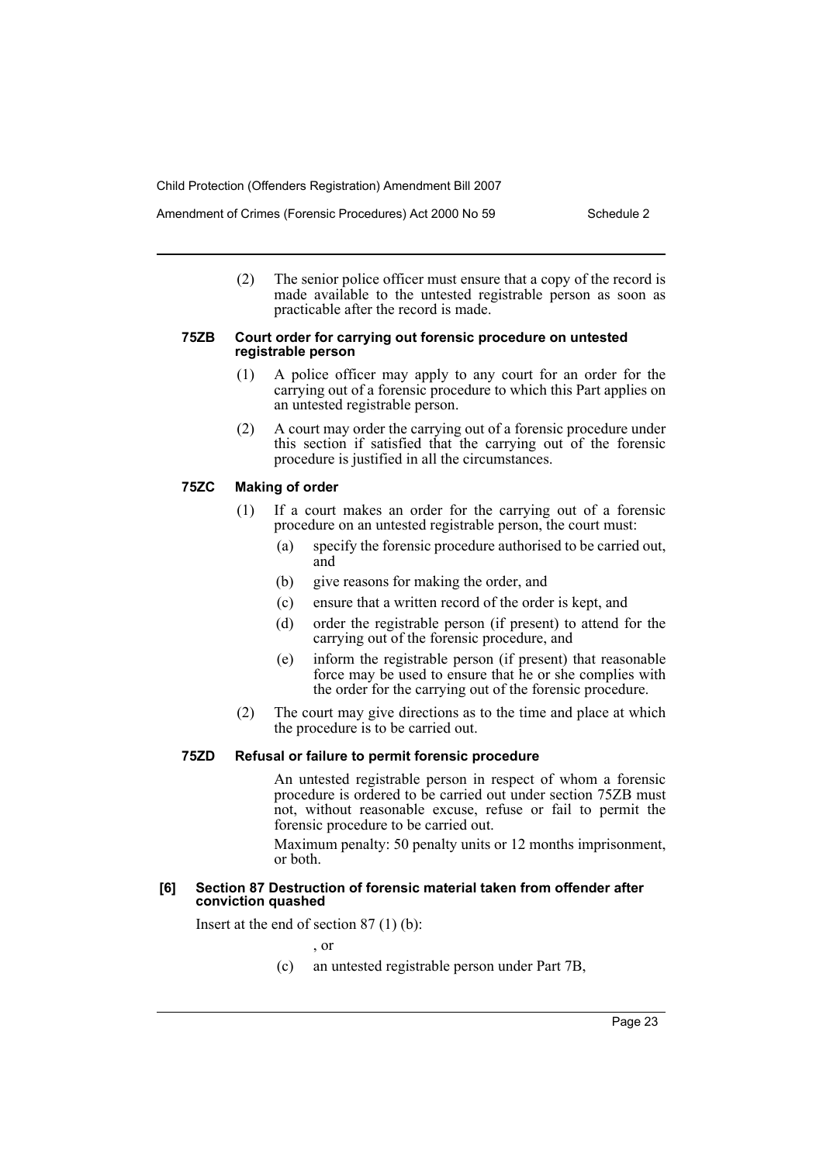(2) The senior police officer must ensure that a copy of the record is made available to the untested registrable person as soon as practicable after the record is made.

### **75ZB Court order for carrying out forensic procedure on untested registrable person**

- (1) A police officer may apply to any court for an order for the carrying out of a forensic procedure to which this Part applies on an untested registrable person.
- (2) A court may order the carrying out of a forensic procedure under this section if satisfied that the carrying out of the forensic procedure is justified in all the circumstances.

## **75ZC Making of order**

- (1) If a court makes an order for the carrying out of a forensic procedure on an untested registrable person, the court must:
	- (a) specify the forensic procedure authorised to be carried out, and
	- (b) give reasons for making the order, and
	- (c) ensure that a written record of the order is kept, and
	- (d) order the registrable person (if present) to attend for the carrying out of the forensic procedure, and
	- (e) inform the registrable person (if present) that reasonable force may be used to ensure that he or she complies with the order for the carrying out of the forensic procedure.
- (2) The court may give directions as to the time and place at which the procedure is to be carried out.

## **75ZD Refusal or failure to permit forensic procedure**

An untested registrable person in respect of whom a forensic procedure is ordered to be carried out under section 75ZB must not, without reasonable excuse, refuse or fail to permit the forensic procedure to be carried out.

Maximum penalty: 50 penalty units or 12 months imprisonment, or both.

### **[6] Section 87 Destruction of forensic material taken from offender after conviction quashed**

Insert at the end of section 87 (1) (b):

, or

(c) an untested registrable person under Part 7B,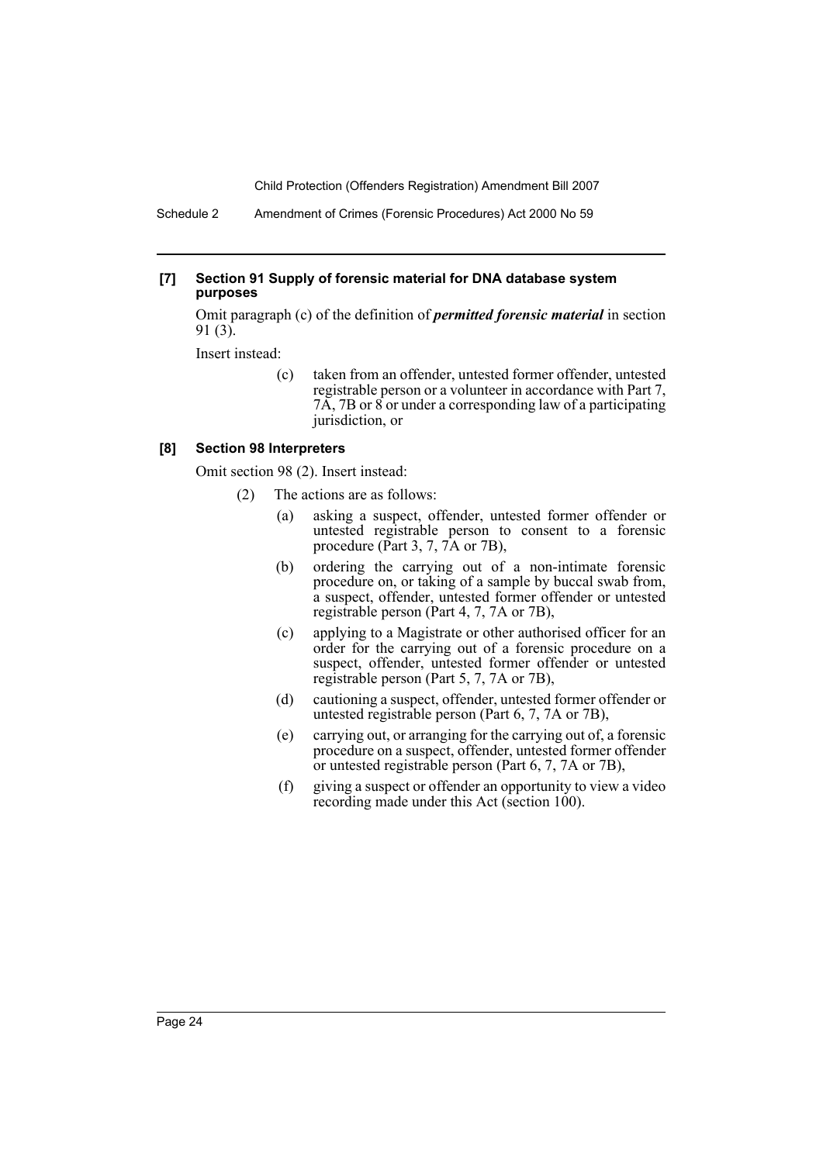Schedule 2 Amendment of Crimes (Forensic Procedures) Act 2000 No 59

### **[7] Section 91 Supply of forensic material for DNA database system purposes**

Omit paragraph (c) of the definition of *permitted forensic material* in section 91 (3).

Insert instead:

(c) taken from an offender, untested former offender, untested registrable person or a volunteer in accordance with Part 7, 7A, 7B or 8 or under a corresponding law of a participating jurisdiction, or

## **[8] Section 98 Interpreters**

Omit section 98 (2). Insert instead:

- (2) The actions are as follows:
	- (a) asking a suspect, offender, untested former offender or untested registrable person to consent to a forensic procedure (Part 3, 7, 7A or 7B),
	- (b) ordering the carrying out of a non-intimate forensic procedure on, or taking of a sample by buccal swab from, a suspect, offender, untested former offender or untested registrable person (Part 4, 7, 7A or 7B),
	- (c) applying to a Magistrate or other authorised officer for an order for the carrying out of a forensic procedure on a suspect, offender, untested former offender or untested registrable person (Part 5, 7, 7A or 7B),
	- (d) cautioning a suspect, offender, untested former offender or untested registrable person (Part 6, 7, 7A or 7B),
	- (e) carrying out, or arranging for the carrying out of, a forensic procedure on a suspect, offender, untested former offender or untested registrable person (Part 6, 7, 7A or 7B),
	- (f) giving a suspect or offender an opportunity to view a video recording made under this Act (section 100).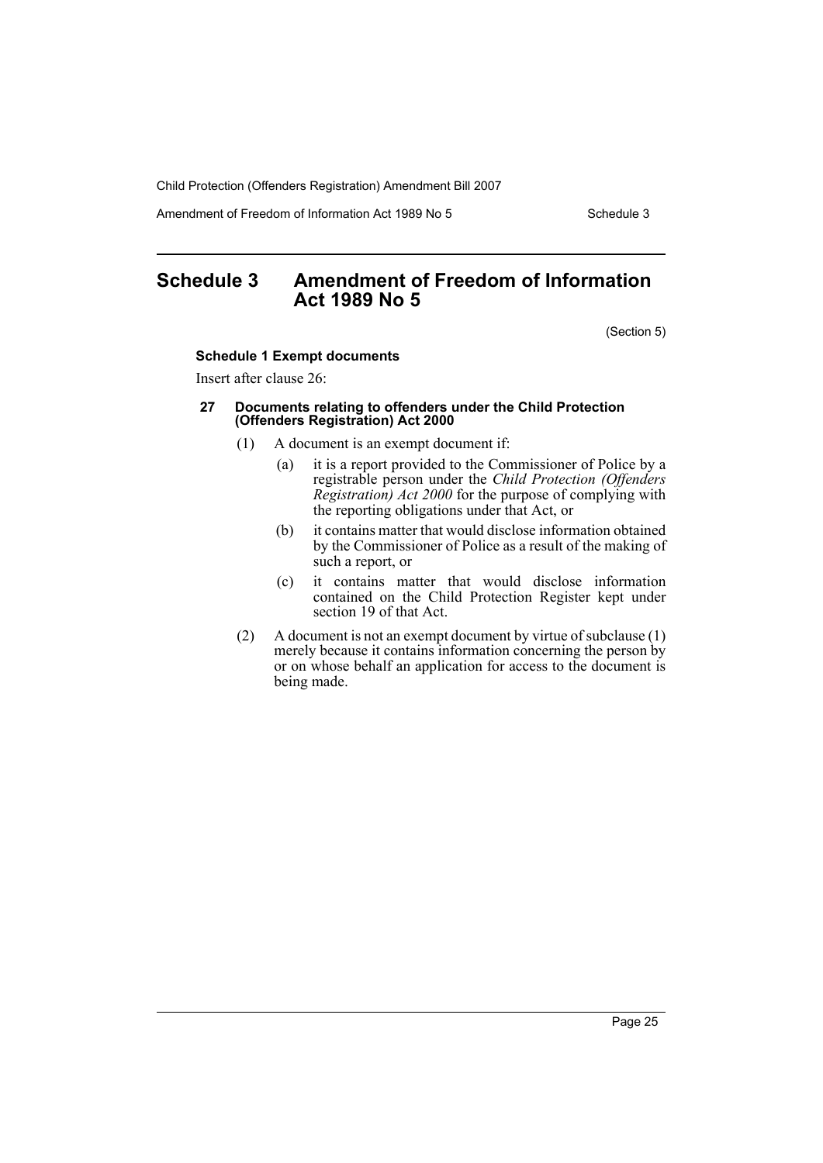Amendment of Freedom of Information Act 1989 No 5 Schedule 3

# <span id="page-25-0"></span>**Schedule 3 Amendment of Freedom of Information Act 1989 No 5**

(Section 5)

## **Schedule 1 Exempt documents**

Insert after clause 26:

#### **27 Documents relating to offenders under the Child Protection (Offenders Registration) Act 2000**

- (1) A document is an exempt document if:
	- (a) it is a report provided to the Commissioner of Police by a registrable person under the *Child Protection (Offenders Registration) Act 2000* for the purpose of complying with the reporting obligations under that Act, or
	- (b) it contains matter that would disclose information obtained by the Commissioner of Police as a result of the making of such a report, or
	- (c) it contains matter that would disclose information contained on the Child Protection Register kept under section 19 of that Act.
- (2) A document is not an exempt document by virtue of subclause (1) merely because it contains information concerning the person by or on whose behalf an application for access to the document is being made.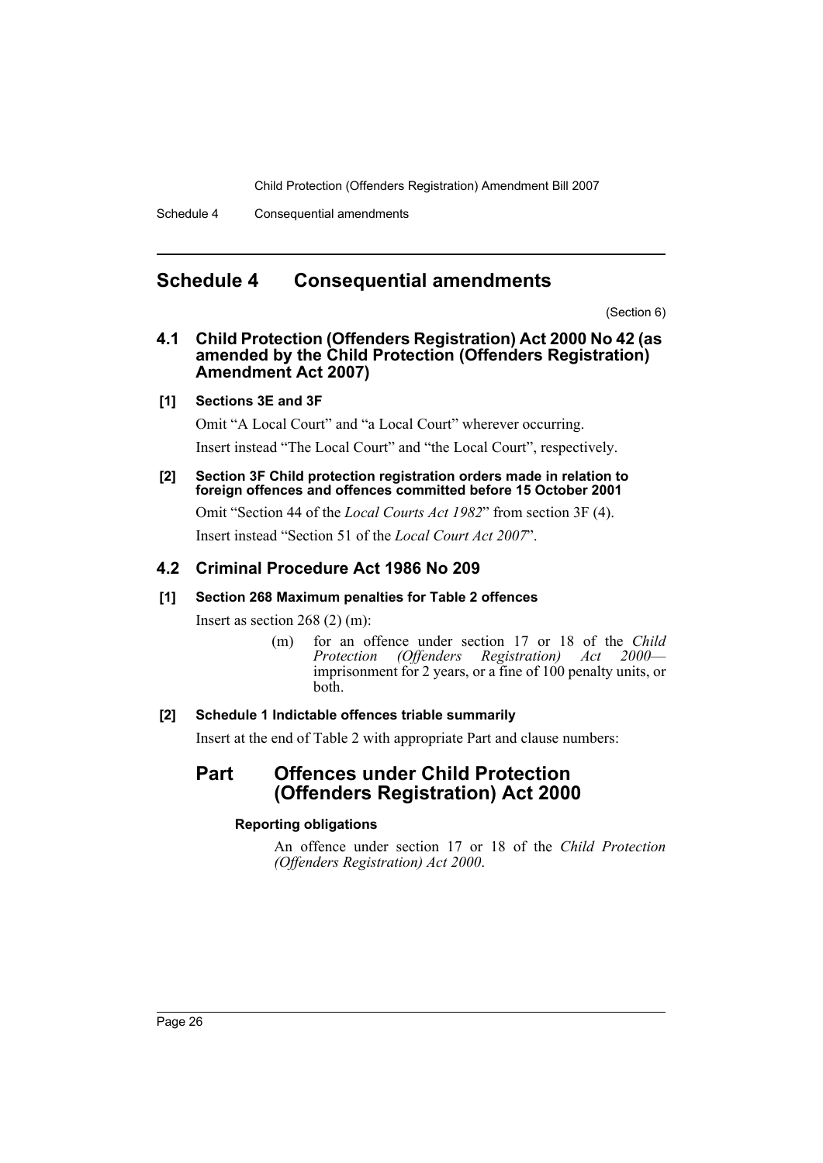## <span id="page-26-0"></span>**Schedule 4 Consequential amendments**

(Section 6)

## **4.1 Child Protection (Offenders Registration) Act 2000 No 42 (as amended by the Child Protection (Offenders Registration) Amendment Act 2007)**

## **[1] Sections 3E and 3F**

Omit "A Local Court" and "a Local Court" wherever occurring. Insert instead "The Local Court" and "the Local Court", respectively.

**[2] Section 3F Child protection registration orders made in relation to foreign offences and offences committed before 15 October 2001**

Omit "Section 44 of the *Local Courts Act 1982*" from section 3F (4).

Insert instead "Section 51 of the *Local Court Act 2007*".

## **4.2 Criminal Procedure Act 1986 No 209**

## **[1] Section 268 Maximum penalties for Table 2 offences**

Insert as section 268 (2) (m):

(m) for an offence under section 17 or 18 of the *Child Protection (Offenders Registration) Act 2000* imprisonment for 2 years, or a fine of 100 penalty units, or both.

## **[2] Schedule 1 Indictable offences triable summarily**

Insert at the end of Table 2 with appropriate Part and clause numbers:

# **Part Offences under Child Protection (Offenders Registration) Act 2000**

## **Reporting obligations**

An offence under section 17 or 18 of the *Child Protection (Offenders Registration) Act 2000*.